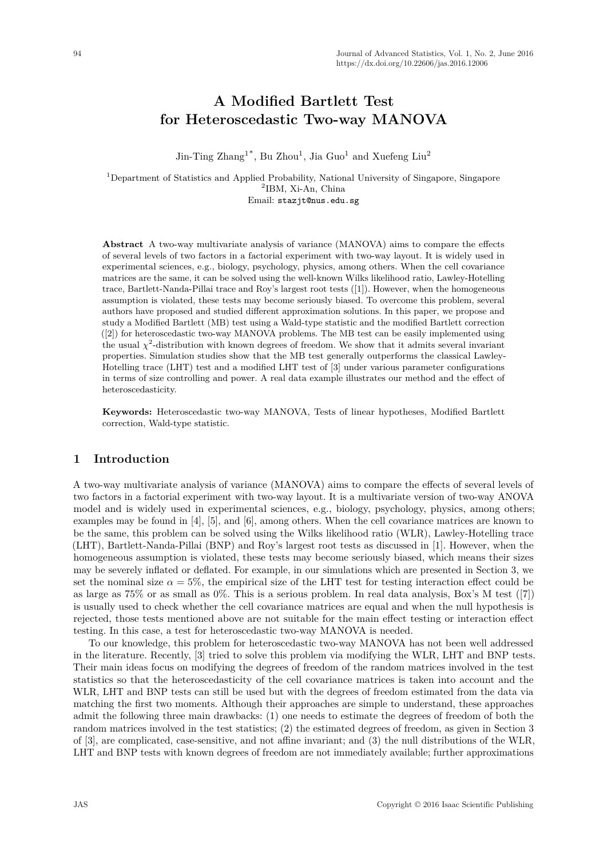# **A Modified Bartlett Test for Heteroscedastic Two-way MANOVA**

Jin-Ting  $\text{Zhang}^{1*}$ , Bu  $\text{Zhou}^{1}$ , Jia Guo<sup>1</sup> and Xuefeng Liu<sup>2</sup>

<sup>1</sup>Department of Statistics and Applied Probability, National University of Singapore, Singapore 2 IBM, Xi-An, China Email: stazjt@nus.edu.sg

**Abstract** A two-way multivariate analysis of variance (MANOVA) aims to compare the effects of several levels of two factors in a factorial experiment with two-way layout. It is widely used in experimental sciences, e.g., biology, psychology, physics, among others. When the cell covariance matrices are the same, it can be solved using the well-known Wilks likelihood ratio, Lawley-Hotelling trace, Bartlett-Nanda-Pillai trace and Roy's largest root tests ([1]). However, when the homogeneous assumption is violated, these tests may become seriously biased. To overcome this problem, several authors have proposed and studied different approximation solutions. In this paper, we propose and study a Modified Bartlett (MB) test using a Wald-type statistic and the modified Bartlett correction ([2]) for heteroscedastic two-way MANOVA problems. The MB test can be easily implemented using the usual  $\chi^2$ -distribution with known degrees of freedom. We show that it admits several invariant properties. Simulation studies show that the MB test generally outperforms the classical Lawley-Hotelling trace (LHT) test and a modified LHT test of [3] under various parameter configurations in terms of size controlling and power. A real data example illustrates our method and the effect of heteroscedasticity.

**Keywords:** Heteroscedastic two-way MANOVA, Tests of linear hypotheses, Modified Bartlett correction, Wald-type statistic.

### **1 Introduction**

A two-way multivariate analysis of variance (MANOVA) aims to compare the effects of several levels of two factors in a factorial experiment with two-way layout. It is a multivariate version of two-way ANOVA model and is widely used in experimental sciences, e.g., biology, psychology, physics, among others; examples may be found in [4], [5], and [6], among others. When the cell covariance matrices are known to be the same, this problem can be solved using the Wilks likelihood ratio (WLR), Lawley-Hotelling trace (LHT), Bartlett-Nanda-Pillai (BNP) and Roy's largest root tests as discussed in [1]. However, when the homogeneous assumption is violated, these tests may become seriously biased, which means their sizes may be severely inflated or deflated. For example, in our simulations which are presented in Section 3, we set the nominal size  $\alpha = 5\%$ , the empirical size of the LHT test for testing interaction effect could be as large as 75% or as small as 0%. This is a serious problem. In real data analysis, Box's M test ([7]) is usually used to check whether the cell covariance matrices are equal and when the null hypothesis is rejected, those tests mentioned above are not suitable for the main effect testing or interaction effect testing. In this case, a test for heteroscedastic two-way MANOVA is needed.

To our knowledge, this problem for heteroscedastic two-way MANOVA has not been well addressed in the literature. Recently, [3] tried to solve this problem via modifying the WLR, LHT and BNP tests. Their main ideas focus on modifying the degrees of freedom of the random matrices involved in the test statistics so that the heteroscedasticity of the cell covariance matrices is taken into account and the WLR, LHT and BNP tests can still be used but with the degrees of freedom estimated from the data via matching the first two moments. Although their approaches are simple to understand, these approaches admit the following three main drawbacks: (1) one needs to estimate the degrees of freedom of both the random matrices involved in the test statistics; (2) the estimated degrees of freedom, as given in Section 3 of [3], are complicated, case-sensitive, and not affine invariant; and (3) the null distributions of the WLR, LHT and BNP tests with known degrees of freedom are not immediately available; further approximations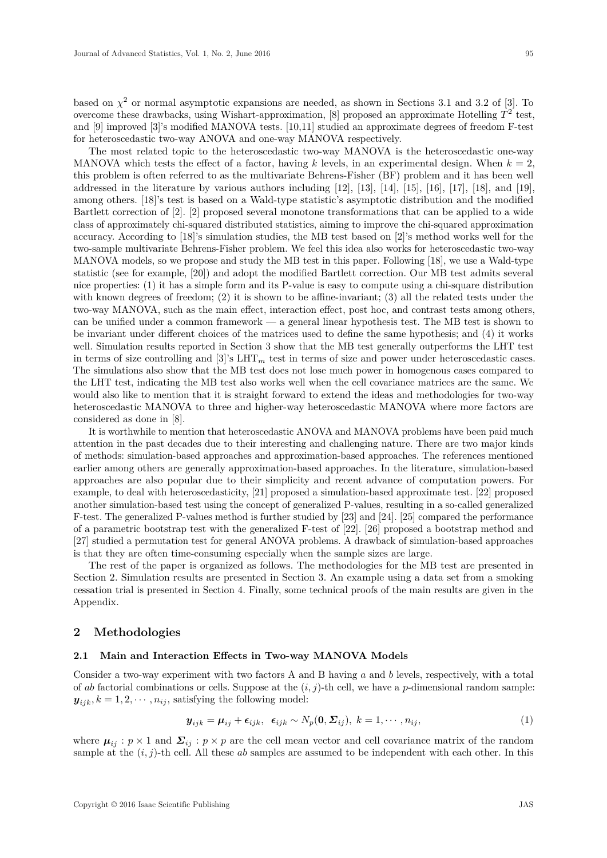based on  $\chi^2$  or normal asymptotic expansions are needed, as shown in Sections 3.1 and 3.2 of [3]. To overcome these drawbacks, using Wishart-approximation,  $[8]$  proposed an approximate Hotelling  $T^2$  test, and [9] improved [3]'s modified MANOVA tests. [10,11] studied an approximate degrees of freedom F-test for heteroscedastic two-way ANOVA and one-way MANOVA respectively.

The most related topic to the heteroscedastic two-way MANOVA is the heteroscedastic one-way MANOVA which tests the effect of a factor, having k levels, in an experimental design. When  $k = 2$ , this problem is often referred to as the multivariate Behrens-Fisher (BF) problem and it has been well addressed in the literature by various authors including [12], [13], [14], [15], [16], [17], [18], and [19], among others. [18]'s test is based on a Wald-type statistic's asymptotic distribution and the modified Bartlett correction of [2]. [2] proposed several monotone transformations that can be applied to a wide class of approximately chi-squared distributed statistics, aiming to improve the chi-squared approximation accuracy. According to [18]'s simulation studies, the MB test based on [2]'s method works well for the two-sample multivariate Behrens-Fisher problem. We feel this idea also works for heteroscedastic two-way MANOVA models, so we propose and study the MB test in this paper. Following [18], we use a Wald-type statistic (see for example, [20]) and adopt the modified Bartlett correction. Our MB test admits several nice properties: (1) it has a simple form and its P-value is easy to compute using a chi-square distribution with known degrees of freedom; (2) it is shown to be affine-invariant; (3) all the related tests under the two-way MANOVA, such as the main effect, interaction effect, post hoc, and contrast tests among others, can be unified under a common framework — a general linear hypothesis test. The MB test is shown to be invariant under different choices of the matrices used to define the same hypothesis; and (4) it works well. Simulation results reported in Section 3 show that the MB test generally outperforms the LHT test in terms of size controlling and [3]'s LHT*<sup>m</sup>* test in terms of size and power under heteroscedastic cases. The simulations also show that the MB test does not lose much power in homogenous cases compared to the LHT test, indicating the MB test also works well when the cell covariance matrices are the same. We would also like to mention that it is straight forward to extend the ideas and methodologies for two-way heteroscedastic MANOVA to three and higher-way heteroscedastic MANOVA where more factors are considered as done in [8].

It is worthwhile to mention that heteroscedastic ANOVA and MANOVA problems have been paid much attention in the past decades due to their interesting and challenging nature. There are two major kinds of methods: simulation-based approaches and approximation-based approaches. The references mentioned earlier among others are generally approximation-based approaches. In the literature, simulation-based approaches are also popular due to their simplicity and recent advance of computation powers. For example, to deal with heteroscedasticity, [21] proposed a simulation-based approximate test. [22] proposed another simulation-based test using the concept of generalized P-values, resulting in a so-called generalized F-test. The generalized P-values method is further studied by [23] and [24]. [25] compared the performance of a parametric bootstrap test with the generalized F-test of [22]. [26] proposed a bootstrap method and [27] studied a permutation test for general ANOVA problems. A drawback of simulation-based approaches is that they are often time-consuming especially when the sample sizes are large.

The rest of the paper is organized as follows. The methodologies for the MB test are presented in Section 2. Simulation results are presented in Section 3. An example using a data set from a smoking cessation trial is presented in Section 4. Finally, some technical proofs of the main results are given in the Appendix.

### **2 Methodologies**

#### **2.1 Main and Interaction Effects in Two-way MANOVA Models**

Consider a two-way experiment with two factors A and B having *a* and *b* levels, respectively, with a total of *ab* factorial combinations or cells. Suppose at the  $(i, j)$ -th cell, we have a *p*-dimensional random sample:  $y_{ijk}$ ,  $k = 1, 2, \dots, n_{ij}$ , satisfying the following model:

$$
\mathbf{y}_{ijk} = \boldsymbol{\mu}_{ij} + \boldsymbol{\epsilon}_{ijk}, \ \boldsymbol{\epsilon}_{ijk} \sim N_p(\mathbf{0}, \boldsymbol{\Sigma}_{ij}), \ k = 1, \cdots, n_{ij}, \tag{1}
$$

where  $\mu_{ij}$ :  $p \times 1$  and  $\Sigma_{ij}$ :  $p \times p$  are the cell mean vector and cell covariance matrix of the random sample at the (*i, j*)-th cell. All these *ab* samples are assumed to be independent with each other. In this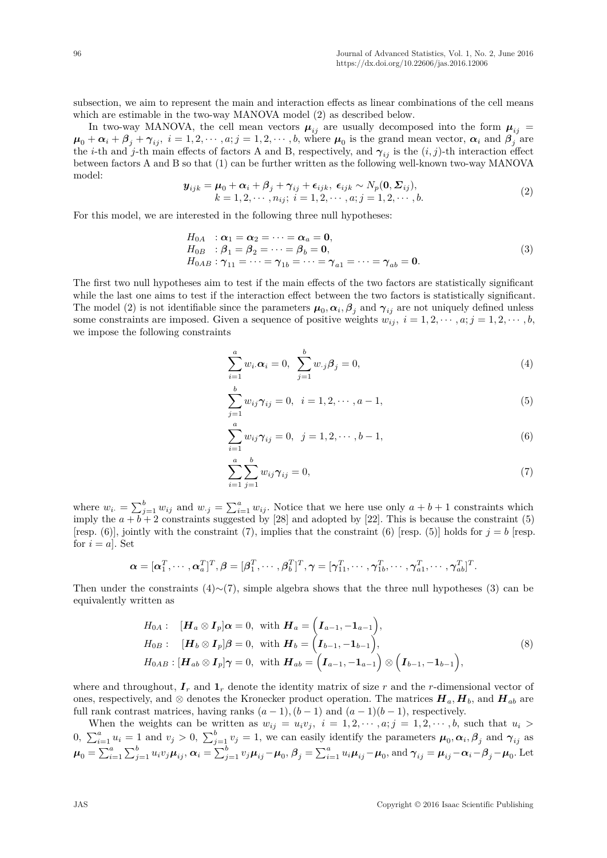subsection, we aim to represent the main and interaction effects as linear combinations of the cell means which are estimable in the two-way MANOVA model (2) as described below.

In two-way MANOVA, the cell mean vectors  $\mu_{ij}$  are usually decomposed into the form  $\mu_{ij}$  =  $\mu_0 + \alpha_i + \beta_j + \gamma_{ij}, i = 1, 2, \dots, a; j = 1, 2, \dots, b$ , where  $\mu_0$  is the grand mean vector,  $\alpha_i$  and  $\beta_j$  are the *i*-th and *j*-th main effects of factors A and B, respectively, and  $\gamma_{ij}$  is the  $(i, j)$ -th interaction effect between factors A and B so that (1) can be further written as the following well-known two-way MANOVA model:

$$
\mathbf{y}_{ijk} = \boldsymbol{\mu}_0 + \boldsymbol{\alpha}_i + \boldsymbol{\beta}_j + \boldsymbol{\gamma}_{ij} + \boldsymbol{\epsilon}_{ijk}, \ \boldsymbol{\epsilon}_{ijk} \sim N_p(\mathbf{0}, \boldsymbol{\Sigma}_{ij}), k = 1, 2, \cdots, n_{ij}; \ i = 1, 2, \cdots, a; j = 1, 2, \cdots, b.
$$
\n(2)

For this model, we are interested in the following three null hypotheses:

$$
H_{0A} : \alpha_1 = \alpha_2 = \dots = \alpha_a = \mathbf{0},
$$
  
\n
$$
H_{0B} : \beta_1 = \beta_2 = \dots = \beta_b = \mathbf{0},
$$
  
\n
$$
H_{0AB} : \gamma_{11} = \dots = \gamma_{1b} = \dots = \gamma_{a1} = \dots = \gamma_{ab} = \mathbf{0}.
$$
  
\n(3)

The first two null hypotheses aim to test if the main effects of the two factors are statistically significant while the last one aims to test if the interaction effect between the two factors is statistically significant. The model (2) is not identifiable since the parameters  $\mu_0, \alpha_i, \beta_j$  and  $\gamma_{ij}$  are not uniquely defined unless some constraints are imposed. Given a sequence of positive weights  $w_{ij}$ ,  $i = 1, 2, \dots, a; j = 1, 2, \dots, b$ , we impose the following constraints

$$
\sum_{i=1}^{a} w_i \alpha_i = 0, \sum_{j=1}^{b} w_{\cdot j} \beta_j = 0,
$$
\n(4)

$$
\sum_{j=1}^{b} w_{ij} \gamma_{ij} = 0, \quad i = 1, 2, \cdots, a - 1,
$$
\n(5)

$$
\sum_{i=1}^{a} w_{ij} \gamma_{ij} = 0, \ \ j = 1, 2, \cdots, b-1,
$$
\n(6)

$$
\sum_{i=1}^{a} \sum_{j=1}^{b} w_{ij} \gamma_{ij} = 0,
$$
\n(7)

where  $w_i = \sum_{j=1}^b w_{ij}$  and  $w_{\cdot j} = \sum_{i=1}^a w_{ij}$ . Notice that we here use only  $a + b + 1$  constraints which imply the  $a + b + 2$  constraints suggested by [28] and adopted by [22]. This is because the constraint (5) [resp.  $(6)$ ], jointly with the constraint  $(7)$ , implies that the constraint  $(6)$  [resp.  $(5)$ ] holds for  $j = b$  [resp. for  $i = a$ . Set

$$
\boldsymbol{\alpha} = [\boldsymbol{\alpha}_1^T, \cdots, \boldsymbol{\alpha}_a^T]^T, \boldsymbol{\beta} = [\boldsymbol{\beta}_1^T, \cdots, \boldsymbol{\beta}_b^T]^T, \boldsymbol{\gamma} = [\boldsymbol{\gamma}_{11}^T, \cdots, \boldsymbol{\gamma}_{1b}^T, \cdots, \boldsymbol{\gamma}_{a1}^T, \cdots, \boldsymbol{\gamma}_{ab}^T]^T.
$$

Then under the constraints  $(4)∼(7)$ , simple algebra shows that the three null hypotheses (3) can be equivalently written as

$$
H_{0A}: \quad [\boldsymbol{H}_a \otimes \boldsymbol{I}_p] \boldsymbol{\alpha} = 0, \text{ with } \boldsymbol{H}_a = \left(\boldsymbol{I}_{a-1}, -\boldsymbol{1}_{a-1}\right),
$$
\n
$$
H_{0B}: \quad [\boldsymbol{H}_b \otimes \boldsymbol{I}_p] \boldsymbol{\beta} = 0, \text{ with } \boldsymbol{H}_b = \left(\boldsymbol{I}_{b-1}, -\boldsymbol{1}_{b-1}\right),
$$
\n
$$
H_{0AB}: [\boldsymbol{H}_{ab} \otimes \boldsymbol{I}_p] \boldsymbol{\gamma} = 0, \text{ with } \boldsymbol{H}_{ab} = \left(\boldsymbol{I}_{a-1}, -\boldsymbol{1}_{a-1}\right) \otimes \left(\boldsymbol{I}_{b-1}, -\boldsymbol{1}_{b-1}\right),
$$
\n
$$
(8)
$$

where and throughout,  $I_r$  and  $I_r$  denote the identity matrix of size  $r$  and the *r*-dimensional vector of ones, respectively, and  $\otimes$  denotes the Kronecker product operation. The matrices  $H_a$ ,  $H_b$ , and  $H_{ab}$  are full rank contrast matrices, having ranks  $(a-1)$ ,  $(b-1)$  and  $(a-1)(b-1)$ , respectively.

When the weights can be written as  $w_{ij} = u_i v_j$ ,  $i = 1, 2, \dots, a; j = 1, 2, \dots, b$ , such that  $u_i >$ 0,  $\sum_{i=1}^{a} u_i = 1$  and  $v_j > 0$ ,  $\sum_{j=1}^{b} v_j = 1$ , we can easily identify the parameters  $\mu_0, \alpha_i, \beta_j$  and  $\gamma_{ij}$  as  $\boldsymbol{\mu}_0 = \sum_{i=1}^a \sum_{j=1}^b u_i v_j \boldsymbol{\mu}_{ij}, \boldsymbol{\alpha}_i = \sum_{j=1}^b v_j \boldsymbol{\mu}_{ij} - \boldsymbol{\mu}_0, \boldsymbol{\beta}_j = \sum_{i=1}^a u_i \boldsymbol{\mu}_{ij} - \boldsymbol{\mu}_0, \text{and } \boldsymbol{\gamma}_{ij} = \boldsymbol{\mu}_{ij} - \boldsymbol{\alpha}_i - \boldsymbol{\beta}_j - \boldsymbol{\mu}_0.$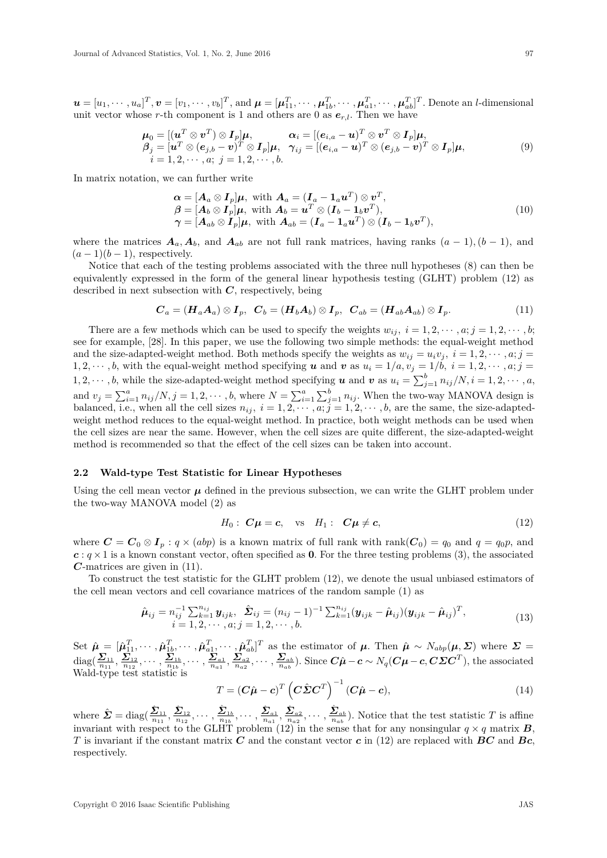$\boldsymbol{u} = [u_1, \cdots, u_a]^T, \boldsymbol{v} = [v_1, \cdots, v_b]^T,$  and  $\boldsymbol{\mu} = [\boldsymbol{\mu}_{11}^T, \cdots, \boldsymbol{\mu}_{1b}^T, \cdots, \boldsymbol{\mu}_{a1}^T, \cdots, \boldsymbol{\mu}_{ab}^T]^T$ . Denote an *l*-dimensional unit vector whose *r*-th component is 1 and others are 0 as  $e_{r,l}$ . Then we have

$$
\mu_0 = [(\mathbf{u}^T \otimes \mathbf{v}^T) \otimes \mathbf{I}_p] \boldsymbol{\mu}, \qquad \alpha_i = [(\mathbf{e}_{i,a} - \mathbf{u})^T \otimes \mathbf{v}^T \otimes \mathbf{I}_p] \boldsymbol{\mu}, \beta_j = [\mathbf{u}^T \otimes (\mathbf{e}_{j,b} - \mathbf{v})^T \otimes \mathbf{I}_p] \boldsymbol{\mu}, \quad \gamma_{ij} = [(\mathbf{e}_{i,a} - \mathbf{u})^T \otimes (\mathbf{e}_{j,b} - \mathbf{v})^T \otimes \mathbf{I}_p] \boldsymbol{\mu}, \ni = 1, 2, \cdots, a; j = 1, 2, \cdots, b.
$$
\n(9)

In matrix notation, we can further write

$$
\alpha = [A_a \otimes I_p]\mu, \text{ with } A_a = (I_a - 1_a u^T) \otimes v^T,\n\beta = [A_b \otimes I_p]\mu, \text{ with } A_b = u^T \otimes (I_b - 1_b v^T),\n\gamma = [A_{ab} \otimes I_p]\mu, \text{ with } A_{ab} = (I_a - 1_a u^T) \otimes (I_b - 1_b v^T),
$$
\n(10)

where the matrices  $A_a$ ,  $A_b$ , and  $A_{ab}$  are not full rank matrices, having ranks  $(a-1)$ ,  $(b-1)$ , and  $(a-1)(b-1)$ , respectively.

Notice that each of the testing problems associated with the three null hypotheses (8) can then be equivalently expressed in the form of the general linear hypothesis testing (GLHT) problem (12) as described in next subsection with *C*, respectively, being

$$
\boldsymbol{C}_a = (\boldsymbol{H}_a \boldsymbol{A}_a) \otimes \boldsymbol{I}_p, \ \ \boldsymbol{C}_b = (\boldsymbol{H}_b \boldsymbol{A}_b) \otimes \boldsymbol{I}_p, \ \ \boldsymbol{C}_{ab} = (\boldsymbol{H}_{ab} \boldsymbol{A}_{ab}) \otimes \boldsymbol{I}_p. \tag{11}
$$

There are a few methods which can be used to specify the weights  $w_{ij}$ ,  $i = 1, 2, \dots, a; j = 1, 2, \dots, b;$ see for example, [28]. In this paper, we use the following two simple methods: the equal-weight method and the size-adapted-weight method. Both methods specify the weights as  $w_{ij} = u_i v_j$ ,  $i = 1, 2, \dots, a; j =$ 1, 2,  $\dots$ , *b*, with the equal-weight method specifying *u* and *v* as  $u_i = 1/a, v_j = 1/b, i = 1, 2, \dots, a; j =$ 1, 2,  $\dots$ , *b*, while the size-adapted-weight method specifying *u* and *v* as  $u_i = \sum_{j=1}^{b} n_{ij}/N$ ,  $i = 1, 2, \dots, a$ , and  $v_j = \sum_{i=1}^a n_{ij}/N, j = 1, 2, \cdots, b$ , where  $N = \sum_{i=1}^a \sum_{j=1}^b n_{ij}$ . When the two-way MANOVA design is balanced, i.e., when all the cell sizes  $n_{ij}$ ,  $i = 1, 2, \dots, a; j = 1, 2, \dots, b$ , are the same, the size-adaptedweight method reduces to the equal-weight method. In practice, both weight methods can be used when the cell sizes are near the same. However, when the cell sizes are quite different, the size-adapted-weight method is recommended so that the effect of the cell sizes can be taken into account.

#### **2.2 Wald-type Test Statistic for Linear Hypotheses**

Using the cell mean vector  $\mu$  defined in the previous subsection, we can write the GLHT problem under the two-way MANOVA model (2) as

$$
H_0: \mathbf{C}\boldsymbol{\mu} = \boldsymbol{c}, \quad \text{vs} \quad H_1: \quad \mathbf{C}\boldsymbol{\mu} \neq \boldsymbol{c}, \tag{12}
$$

where  $C = C_0 \otimes I_p : q \times (abp)$  is a known matrix of full rank with rank $(C_0) = q_0$  and  $q = q_0p$ , and  $c: q \times 1$  is a known constant vector, often specified as **0**. For the three testing problems (3), the associated *C*-matrices are given in (11).

To construct the test statistic for the GLHT problem (12), we denote the usual unbiased estimators of the cell mean vectors and cell covariance matrices of the random sample (1) as

$$
\hat{\boldsymbol{\mu}}_{ij} = n_{ij}^{-1} \sum_{k=1}^{n_{ij}} \boldsymbol{y}_{ijk}, \ \hat{\boldsymbol{\Sigma}}_{ij} = (n_{ij} - 1)^{-1} \sum_{k=1}^{n_{ij}} (\boldsymbol{y}_{ijk} - \hat{\boldsymbol{\mu}}_{ij}) (\boldsymbol{y}_{ijk} - \hat{\boldsymbol{\mu}}_{ij})^T, \n i = 1, 2, \cdots, a; j = 1, 2, \cdots, b.
$$
\n(13)

Set  $\hat{\boldsymbol{\mu}} = [\hat{\boldsymbol{\mu}}_{11}^T, \cdots, \hat{\boldsymbol{\mu}}_{1b}^T, \cdots, \hat{\boldsymbol{\mu}}_{a1}^T, \cdots, \hat{\boldsymbol{\mu}}_{ab}^T]^T$  as the estimator of  $\boldsymbol{\mu}$ . Then  $\hat{\boldsymbol{\mu}} \sim N_{abp}(\boldsymbol{\mu}, \boldsymbol{\Sigma})$  where  $\boldsymbol{\Sigma} =$  $\text{diag}(\frac{\Sigma_{11}}{n_{11}},\frac{\Sigma_{12}}{n_{12}},\cdots,\frac{\Sigma_{1b}}{n_{1b}},\cdots,\frac{\Sigma_{a1}}{n_{a1}},\frac{\Sigma_{a2}}{n_{a2}},\cdots,\frac{\Sigma_{ab}}{n_{ab}}).$  Since  $C\hat{\mu}-c\sim N_q(C\mu-c, C\Sigma C^T)$ , the associated Wald-type test statistic is

$$
T = (C\hat{\boldsymbol{\mu}} - \mathbf{c})^T \left( C\hat{\boldsymbol{\Sigma}} \mathbf{C}^T \right)^{-1} (C\hat{\boldsymbol{\mu}} - \mathbf{c}), \tag{14}
$$

where  $\hat{\mathbf{\Sigma}} = \text{diag}(\frac{\hat{\mathbf{\Sigma}}_{11}}{n_{11}}, \frac{\hat{\mathbf{\Sigma}}_{12}}{n_{12}}, \cdots, \frac{\hat{\mathbf{\Sigma}}_{1b}}{n_{1b}}, \cdots, \frac{\hat{\mathbf{\Sigma}}_{a1}}{n_{a1}}, \frac{\hat{\mathbf{\Sigma}}_{a2}}{n_{a2}}, \cdots, \frac{\hat{\mathbf{\Sigma}}_{ab}}{n_{ab}})$ . Notice that the test statistic T is affine invariant with respect to the GLHT problem (12) in the sense that for any nonsingular  $q \times q$  matrix  $\bf{B}$ , *T* is invariant if the constant matrix *C* and the constant vector *c* in (12) are replaced with *BC* and *Bc*, respectively.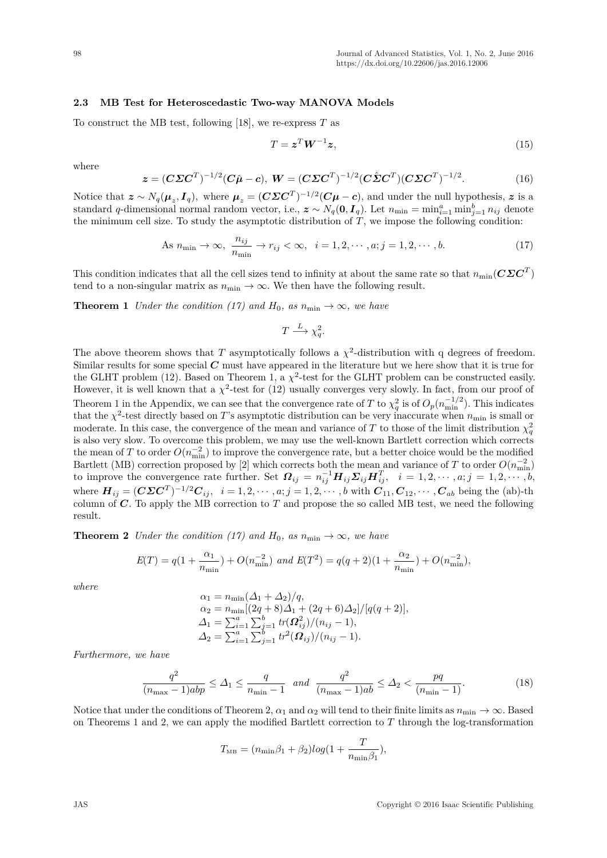### **2.3 MB Test for Heteroscedastic Two-way MANOVA Models**

To construct the MB test, following [18], we re-express *T* as

$$
T = \mathbf{z}^T \mathbf{W}^{-1} \mathbf{z},\tag{15}
$$

where

$$
\boldsymbol{z} = (\boldsymbol{C}\boldsymbol{\Sigma}\boldsymbol{C}^T)^{-1/2}(\boldsymbol{C}\hat{\boldsymbol{\mu}} - \boldsymbol{c}), \ \boldsymbol{W} = (\boldsymbol{C}\boldsymbol{\Sigma}\boldsymbol{C}^T)^{-1/2}(\boldsymbol{C}\hat{\boldsymbol{\Sigma}}\boldsymbol{C}^T)(\boldsymbol{C}\boldsymbol{\Sigma}\boldsymbol{C}^T)^{-1/2}.
$$
(16)

Notice that  $\boldsymbol{z} \sim N_q(\boldsymbol{\mu}_z, \boldsymbol{I}_q)$ , where  $\boldsymbol{\mu}_z = (\boldsymbol{C}\boldsymbol{\Sigma}\boldsymbol{C}^T)^{-1/2}(\boldsymbol{C}\boldsymbol{\mu}-\boldsymbol{c})$ , and under the null hypothesis,  $\boldsymbol{z}$  is a standard *q*-dimensional normal random vector, i.e.,  $z \sim N_q(0, I_q)$ . Let  $n_{\min} = \min_{i=1}^a \min_{j=1}^b n_{ij}$  denote the minimum cell size. To study the asymptotic distribution of  $T$ , we impose the following condition:

As 
$$
n_{\min} \to \infty
$$
,  $\frac{n_{ij}}{n_{\min}} \to r_{ij} < \infty$ ,  $i = 1, 2, \cdots, a; j = 1, 2, \cdots, b.$  (17)

This condition indicates that all the cell sizes tend to infinity at about the same rate so that  $n_{\min}(C\mathcal{Z}C^T)$ tend to a non-singular matrix as  $n_{\min} \to \infty$ . We then have the following result.

**Theorem 1** *Under the condition* (17) and  $H_0$ , as  $n_{\min} \to \infty$ , we have

$$
T \xrightarrow{L} \chi_q^2.
$$

The above theorem shows that *T* asymptotically follows a  $\chi^2$ -distribution with q degrees of freedom. Similar results for some special *C* must have appeared in the literature but we here show that it is true for the GLHT problem (12). Based on Theorem 1, a  $\chi^2$ -test for the GLHT problem can be constructed easily. However, it is well known that a  $\chi^2$ -test for (12) usually converges very slowly. In fact, from our proof of Theorem 1 in the Appendix, we can see that the convergence rate of *T* to  $\chi_q^2$  is of  $O_p(n_{\min}^{-1/2})$ . This indicates that the  $\chi^2$ -test directly based on *T*'s asymptotic distribution can be very inaccurate when  $n_{\min}$  is small or moderate. In this case, the convergence of the mean and variance of *T* to those of the limit distribution  $\chi_q^2$ is also very slow. To overcome this problem, we may use the well-known Bartlett correction which corrects the mean of *T* to order  $O(n_{\text{min}}^{-2})$  to improve the convergence rate, but a better choice would be the modified Bartlett (MB) correction proposed by [2] which corrects both the mean and variance of *T* to order  $O(n_{\min}^{-2})$ to improve the convergence rate further. Set  $\mathbf{\Omega}_{ij} = n_{ij}^{-1} \mathbf{H}_{ij} \mathbf{\Sigma}_{ij} \mathbf{H}_{ij}^T$ ,  $i = 1, 2, \cdots, a; j = 1, 2, \cdots, b$ , where  $\bm{H}_{ij} = (\bm{C} \bm{\Sigma} \bm{C}^T)^{-1/2} \bm{C}_{ij}, \ \ i = 1, 2, \cdots, a; j = 1, 2, \cdots, b$  with  $\bm{C}_{11}, \bm{C}_{12}, \cdots, \bm{C}_{ab}$  being the (ab)-th column of *C*. To apply the MB correction to *T* and propose the so called MB test, we need the following result.

**Theorem 2** *Under the condition* (17) and  $H_0$ , as  $n_{\min} \to \infty$ , we have

$$
E(T) = q(1 + \frac{\alpha_1}{n_{\min}}) + O(n_{\min}^{-2}) \text{ and } E(T^2) = q(q+2)(1 + \frac{\alpha_2}{n_{\min}}) + O(n_{\min}^{-2}),
$$

*where*

$$
\alpha_1 = n_{\min}(\Delta_1 + \Delta_2)/q,
$$
  
\n
$$
\alpha_2 = n_{\min}[(2q+8)\Delta_1 + (2q+6)\Delta_2]/[q(q+2)],
$$
  
\n
$$
\Delta_1 = \sum_{i=1}^a \sum_{j=1}^b tr(\Omega_{ij}^2)/(n_{ij} - 1),
$$
  
\n
$$
\Delta_2 = \sum_{i=1}^a \sum_{j=1}^b tr^2(\Omega_{ij})/(n_{ij} - 1).
$$

*Furthermore, we have*

$$
\frac{q^2}{(n_{\max} - 1)abp} \le \Delta_1 \le \frac{q}{n_{\min} - 1} \quad and \quad \frac{q^2}{(n_{\max} - 1)ab} \le \Delta_2 < \frac{pq}{(n_{\min} - 1)}.\tag{18}
$$

Notice that under the conditions of Theorem 2,  $\alpha_1$  and  $\alpha_2$  will tend to their finite limits as  $n_{\min} \to \infty$ . Based on Theorems 1 and 2, we can apply the modified Bartlett correction to *T* through the log-transformation

$$
T_{\text{MB}} = (n_{\min}\beta_1 + \beta_2)log(1 + \frac{T}{n_{\min}\beta_1}),
$$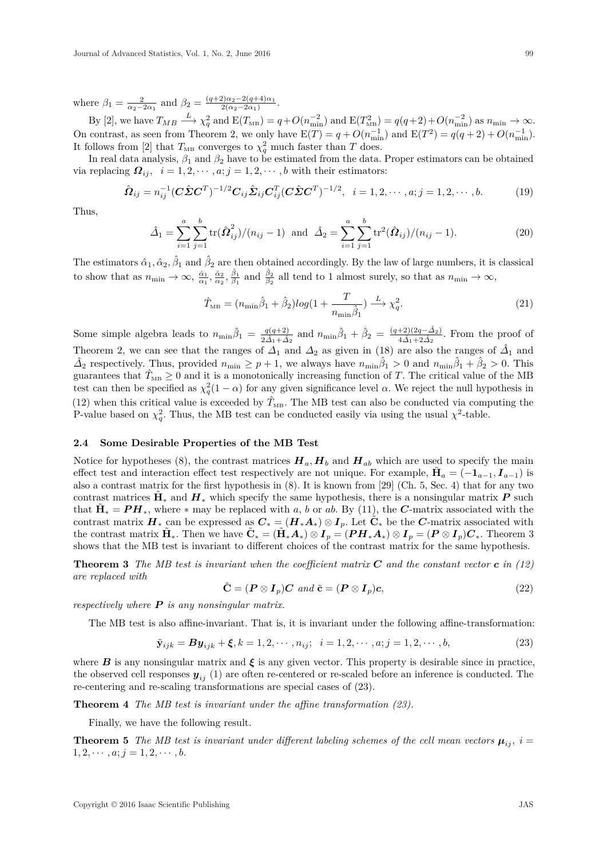where  $\beta_1 = \frac{2}{\alpha_2 - 2\alpha_1}$  and  $\beta_2 = \frac{(q+2)\alpha_2 - 2(q+4)\alpha_1}{2(\alpha_2 - 2\alpha_1)}$  $\frac{2\alpha_2 - 2(q+4)\alpha_1}{2(\alpha_2 - 2\alpha_1)}.$ 

 $\text{By [2], we have } T_{MB} \stackrel{L}{\longrightarrow} \chi_q^2 \text{ and } \text{E}(T_{MB}) = q + O(n_{\text{min}}^{-2}) \text{ and } \text{E}(T_{MB}^2) = q(q+2) + O(n_{\text{min}}^{-2}) \text{ as } n_{\text{min}} \to \infty.$ On contrast, as seen from Theorem 2, we only have  $E(T) = q + O(n_{\min}^{-1})$  and  $E(T^2) = q(q+2) + O(n_{\min}^{-1})$ . It follows from [2] that  $T_{\text{MB}}$  converges to  $\chi_q^2$  much faster than *T* does.

In real data analysis,  $\beta_1$  and  $\beta_2$  have to be estimated from the data. Proper estimators can be obtained via replacing  $\Omega_{ij}$ ,  $i = 1, 2, \dots, a; j = 1, 2, \dots, b$  with their estimators:

$$
\hat{\Omega}_{ij} = n_{ij}^{-1} (C \hat{\Sigma} C^T)^{-1/2} C_{ij} \hat{\Sigma}_{ij} C_{ij}^T (C \hat{\Sigma} C^T)^{-1/2}, \quad i = 1, 2, \cdots, a; j = 1, 2, \cdots, b.
$$
 (19)

Thus,

$$
\hat{\Delta}_1 = \sum_{i=1}^a \sum_{j=1}^b \text{tr}(\hat{\Omega}_{ij}^2)/(n_{ij} - 1) \text{ and } \hat{\Delta}_2 = \sum_{i=1}^a \sum_{j=1}^b \text{tr}^2(\hat{\Omega}_{ij})/(n_{ij} - 1).
$$
 (20)

The estimators  $\hat{\alpha}_1, \hat{\alpha}_2, \hat{\beta}_1$  and  $\hat{\beta}_2$  are then obtained accordingly. By the law of large numbers, it is classical to show that as  $n_{\min} \to \infty$ ,  $\frac{\hat{\alpha}_1}{\alpha_1}$ ,  $\frac{\hat{\alpha}_2}{\alpha_2}$ ,  $\frac{\hat{\beta}_1}{\beta_1}$  and  $\frac{\hat{\beta}_2}{\beta_2}$  all tend to 1 almost surely, so that as  $n_{\min} \to \infty$ ,

$$
\hat{T}_{\text{MB}} = (n_{\text{min}}\hat{\beta}_1 + \hat{\beta}_2)log(1 + \frac{T}{n_{\text{min}}\hat{\beta}_1}) \xrightarrow{L} \chi_q^2.
$$
\n(21)

Some simple algebra leads to  $n_{\min}\hat{\beta}_1 = \frac{q(q+2)}{2\hat{\Delta}_1 + \hat{\Delta}_2}$  and  $n_{\min}\hat{\beta}_1 + \hat{\beta}_2 = \frac{(q+2)(2q-\hat{\Delta}_2)}{4\hat{\Delta}_1 + 2\hat{\Delta}_2}$  $\frac{+2(2q-2)}{4\hat{\Delta}_1+2\hat{\Delta}_2}$ . From the proof of Theorem 2, we can see that the ranges of  $\Delta_1$  and  $\Delta_2$  as given in (18) are also the ranges of  $\hat{\Delta}_1$  and  $\hat{\Delta}_2$  respectively. Thus, provided  $n_{\min} \geq p+1$ , we always have  $n_{\min}\hat{\beta}_1 > 0$  and  $n_{\min}\hat{\beta}_1 + \hat{\beta}_2 > 0$ . This guarantees that  $\hat{T}_{MB} \geq 0$  and it is a monotonically increasing function of *T*. The critical value of the MB test can then be specified as  $\chi_q^2(1-\alpha)$  for any given significance level  $\alpha$ . We reject the null hypothesis in (12) when this critical value is exceeded by  $\hat{T}_{MB}$ . The MB test can also be conducted via computing the P-value based on  $\chi_q^2$ . Thus, the MB test can be conducted easily via using the usual  $\chi^2$ -table.

#### **2.4 Some Desirable Properties of the MB Test**

Notice for hypotheses (8), the contrast matrices  $H_a$ ,  $H_b$  and  $H_{ab}$  which are used to specify the main effect test and interaction effect test respectively are not unique. For example,  $\tilde{H}_a = (-1_{a-1}, I_{a-1})$  is also a contrast matrix for the first hypothesis in (8). It is known from [29] (Ch. 5, Sec. 4) that for any two contrast matrices  $\tilde{H}_*$  and  $H_*$  which specify the same hypothesis, there is a nonsingular matrix  $P$  such that  $\tilde{H}_* = PH_*$ , where  $*$  may be replaced with *a*, *b* or *ab*. By (11), the *C*-matrix associated with the contrast matrix  $H_*$  can be expressed as  $C_* = (H_*A_*) \otimes I_p$ . Let  $\tilde{C}_*$  be the *C*-matrix associated with the contrast matrix  $\tilde{H}_*$ . Then we have  $\tilde{C}_* = (\tilde{H}_* A_*) \otimes I_p = (PH_* A_*) \otimes I_p = (P \otimes I_p)C_*$ . Theorem 3 shows that the MB test is invariant to different choices of the contrast matrix for the same hypothesis.

**Theorem 3** *The MB test is invariant when the coefficient matrix C and the constant vector c in (12) are replaced with*

$$
\tilde{\mathbf{C}} = (\boldsymbol{P} \otimes \boldsymbol{I}_p)\boldsymbol{C} \text{ and } \tilde{\mathbf{c}} = (\boldsymbol{P} \otimes \boldsymbol{I}_p)\boldsymbol{c}, \tag{22}
$$

*respectively where P is any nonsingular matrix.*

The MB test is also affine-invariant. That is, it is invariant under the following affine-transformation:

$$
\tilde{\mathbf{y}}_{ijk} = \mathbf{B}\mathbf{y}_{ijk} + \xi, k = 1, 2, \cdots, n_{ij}; \quad i = 1, 2, \cdots, a; j = 1, 2, \cdots, b,
$$
\n(23)

where  $B$  is any nonsingular matrix and  $\xi$  is any given vector. This property is desirable since in practice, the observed cell responses  $y_{ij}$  (1) are often re-centered or re-scaled before an inference is conducted. The re-centering and re-scaling transformations are special cases of (23).

**Theorem 4** *The MB test is invariant under the affine transformation (23).*

Finally, we have the following result.

**Theorem 5** *The MB test is invariant under different labeling schemes of the cell mean vectors*  $\mu_{ij}$ ,  $i =$  $1, 2, \cdots, a; j = 1, 2, \cdots, b.$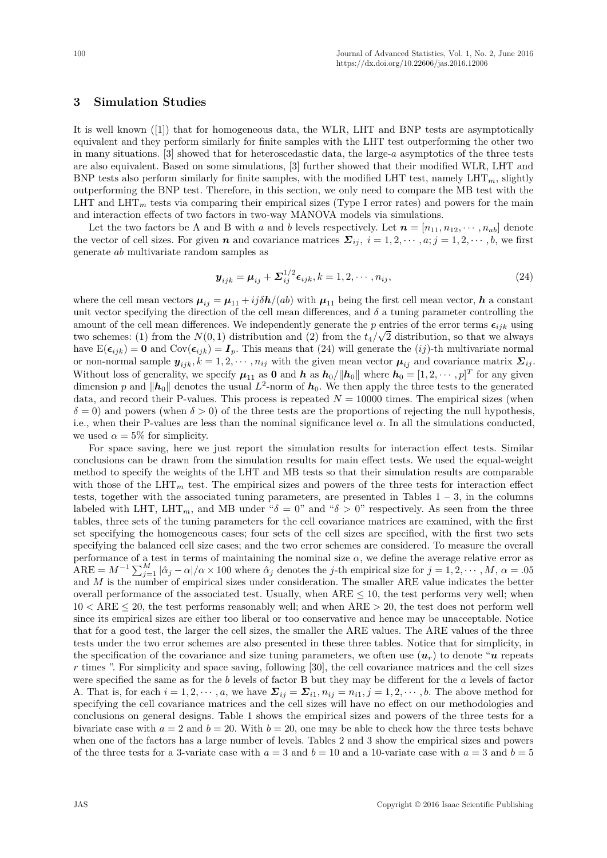## **3 Simulation Studies**

It is well known ([1]) that for homogeneous data, the WLR, LHT and BNP tests are asymptotically equivalent and they perform similarly for finite samples with the LHT test outperforming the other two in many situations. [3] showed that for heteroscedastic data, the large-*a* asymptotics of the three tests are also equivalent. Based on some simulations, [3] further showed that their modified WLR, LHT and BNP tests also perform similarly for finite samples, with the modified LHT test, namely  $LHT_m$ , slightly outperforming the BNP test. Therefore, in this section, we only need to compare the MB test with the LHT and  $LHT_m$  tests via comparing their empirical sizes (Type I error rates) and powers for the main and interaction effects of two factors in two-way MANOVA models via simulations.

Let the two factors be A and B with *a* and *b* levels respectively. Let  $n = [n_{11}, n_{12}, \dots, n_{ab}]$  denote the vector of cell sizes. For given *n* and covariance matrices  $\Sigma_{ij}$ ,  $i = 1, 2, \dots, a; j = 1, 2, \dots, b$ , we first generate *ab* multivariate random samples as

$$
\mathbf{y}_{ijk} = \mathbf{\mu}_{ij} + \mathbf{\Sigma}_{ij}^{1/2} \epsilon_{ijk}, k = 1, 2, \cdots, n_{ij},
$$
\n(24)

where the cell mean vectors  $\mu_{ij} = \mu_{11} + i j \delta h/(ab)$  with  $\mu_{11}$  being the first cell mean vector, *h* a constant unit vector specifying the direction of the cell mean differences, and  $\delta$  a tuning parameter controlling the amount of the cell mean differences. We independently generate the *p* entries of the error terms  $\epsilon_{ijk}$  using two schemes: (1) from the  $N(0, 1)$  distribution and (2) from the  $t_4/\sqrt{2}$  distribution, so that we always have  $E(\epsilon_{ijk}) = \mathbf{0}$  and  $Cov(\epsilon_{ijk}) = \mathbf{I}_p$ . This means that (24) will generate the (*ij*)-th multivariate normal or non-normal sample  $y_{ijk}$ ,  $k = 1, 2, \dots, n_{ij}$  with the given mean vector  $\mu_{ij}$  and covariance matrix  $\Sigma_{ij}$ . Without loss of generality, we specify  $\mu_{11}$  as **0** and *h* as  $h_0/||h_0||$  where  $h_0 = [1, 2, \dots, p]^T$  for any given dimension *p* and  $\|\boldsymbol{h}_0\|$  denotes the usual  $L^2$ -norm of  $\boldsymbol{h}_0$ . We then apply the three tests to the generated data, and record their P-values. This process is repeated  $N = 10000$  times. The empirical sizes (when  $\delta = 0$ ) and powers (when  $\delta > 0$ ) of the three tests are the proportions of rejecting the null hypothesis, i.e., when their P-values are less than the nominal significance level  $\alpha$ . In all the simulations conducted, we used  $\alpha = 5\%$  for simplicity.

For space saving, here we just report the simulation results for interaction effect tests. Similar conclusions can be drawn from the simulation results for main effect tests. We used the equal-weight method to specify the weights of the LHT and MB tests so that their simulation results are comparable with those of the  $LHT_m$  test. The empirical sizes and powers of the three tests for interaction effect tests, together with the associated tuning parameters, are presented in Tables  $1 - 3$ , in the columns labeled with LHT, LHT<sub>m</sub>, and MB under " $\delta = 0$ " and " $\delta > 0$ " respectively. As seen from the three tables, three sets of the tuning parameters for the cell covariance matrices are examined, with the first set specifying the homogeneous cases; four sets of the cell sizes are specified, with the first two sets specifying the balanced cell size cases; and the two error schemes are considered. To measure the overall performance of a test in terms of maintaining the nominal size  $\alpha$ , we define the average relative error as  $\widehat{I}$ ARE =  $M^{-1} \sum_{j=1}^{M} |\hat{\alpha}_j - \alpha| / \alpha \times 100$  where  $\widehat{\alpha}_j$  denotes the *j*-th empirical size for  $j = 1, 2, \cdots, M$ ,  $\alpha = .05$ and *M* is the number of empirical sizes under consideration. The smaller ARE value indicates the better overall performance of the associated test. Usually, when  $ARE \leq 10$ , the test performs very well; when 10 *<* ARE ≤ 20, the test performs reasonably well; and when ARE *>* 20, the test does not perform well since its empirical sizes are either too liberal or too conservative and hence may be unacceptable. Notice that for a good test, the larger the cell sizes, the smaller the ARE values. The ARE values of the three tests under the two error schemes are also presented in these three tables. Notice that for simplicity, in the specification of the covariance and size tuning parameters, we often use  $(\boldsymbol{u}_r)$  to denote " $\boldsymbol{u}$  repeats" *r* times ". For simplicity and space saving, following [30], the cell covariance matrices and the cell sizes were specified the same as for the *b* levels of factor B but they may be different for the *a* levels of factor A. That is, for each  $i = 1, 2, \dots, a$ , we have  $\Sigma_{ij} = \Sigma_{i1}, n_{ij} = n_{i1}, j = 1, 2, \dots, b$ . The above method for specifying the cell covariance matrices and the cell sizes will have no effect on our methodologies and conclusions on general designs. Table 1 shows the empirical sizes and powers of the three tests for a bivariate case with  $a = 2$  and  $b = 20$ . With  $b = 20$ , one may be able to check how the three tests behave when one of the factors has a large number of levels. Tables 2 and 3 show the empirical sizes and powers of the three tests for a 3-variate case with  $a = 3$  and  $b = 10$  and a 10-variate case with  $a = 3$  and  $b = 5$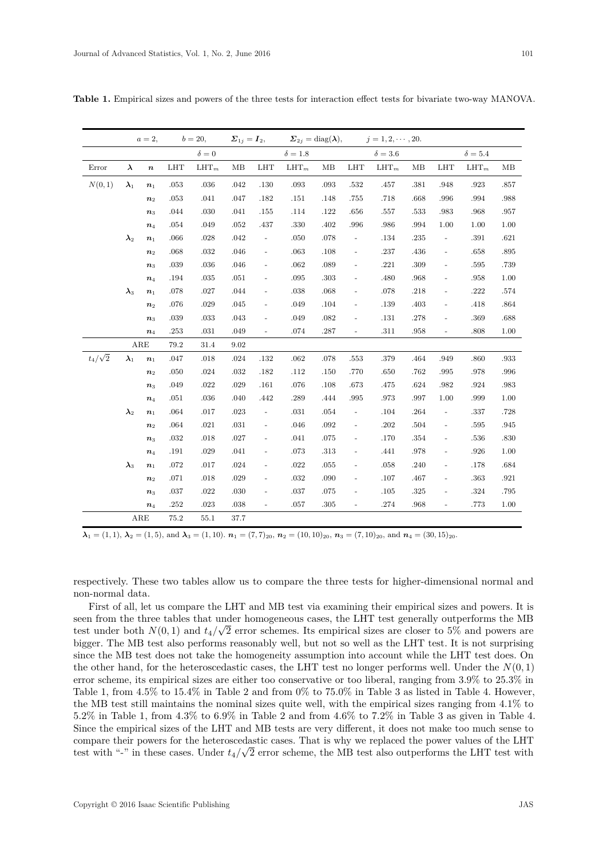|                | $a=2,$                   |                      | $b = 20,$  |              | $\boldsymbol{\Sigma}_{1j}=\boldsymbol{I}_2,$ |                          |                | $\mathbf{\Sigma}_{2j} = \mathrm{diag}(\boldsymbol{\lambda}),$ |                          | $j = 1, 2, \cdots, 20.$ |      |                              |                |      |
|----------------|--------------------------|----------------------|------------|--------------|----------------------------------------------|--------------------------|----------------|---------------------------------------------------------------|--------------------------|-------------------------|------|------------------------------|----------------|------|
|                |                          |                      |            | $\delta = 0$ |                                              |                          | $\delta = 1.8$ |                                                               |                          | $\delta = 3.6$          |      |                              | $\delta = 5.4$ |      |
| Error          | $\lambda$                | $\boldsymbol{n}$     | <b>LHT</b> | $LHT_m$      | MB                                           | <b>LHT</b>               | $LHT_m$        | MB                                                            | <b>LHT</b>               | $LHT_m$                 | MB   | <b>LHT</b>                   | $LHT_m$        | MB   |
| N(0, 1)        | $\boldsymbol{\lambda}_1$ | $n_1$                | .053       | .036         | .042                                         | .130                     | .093           | .093                                                          | .532                     | .457                    | .381 | .948                         | .923           | .857 |
|                |                          | n <sub>2</sub>       | .053       | .041         | .047                                         | .182                     | .151           | .148                                                          | .755                     | .718                    | .668 | .996                         | .994           | .988 |
|                |                          | $n_3$                | .044       | .030         | .041                                         | $.155\,$                 | .114           | .122                                                          | .656                     | .557                    | .533 | .983                         | .968           | .957 |
|                |                          | $n_4$                | .054       | .049         | .052                                         | .437                     | .330           | .402                                                          | .996                     | .986                    | .994 | 1.00                         | 1.00           | 1.00 |
|                | $\lambda_2$              | $\boldsymbol{n}_1$   | .066       | .028         | .042                                         | $\blacksquare$           | .050           | .078                                                          | $\equiv$                 | .134                    | .235 | $\overline{\phantom{a}}$     | .391           | .621 |
|                |                          | n <sub>2</sub>       | .068       | .032         | .046                                         | $\blacksquare$           | .063           | .108                                                          | $\overline{\phantom{a}}$ | .237                    | .436 | $\frac{1}{2}$                | .658           | .895 |
|                |                          | $n_3$                | .039       | .036         | .046                                         | $\overline{\phantom{a}}$ | .062           | .089                                                          | $\blacksquare$           | .221                    | .309 | $\overline{\phantom{a}}$     | .595           | .739 |
|                |                          | $\boldsymbol{n}_4$   | .194       | .035         | .051                                         | $\blacksquare$           | .095           | .303                                                          | $\blacksquare$           | .480                    | .968 | $\qquad \qquad \blacksquare$ | .958           | 1.00 |
|                | $\lambda_3$              | $\boldsymbol{n}_1$   | .078       | .027         | .044                                         | $\overline{\phantom{a}}$ | .038           | .068                                                          | $\overline{\phantom{a}}$ | .078                    | .218 | $\frac{1}{2}$                | .222           | .574 |
|                |                          | n <sub>2</sub>       | .076       | .029         | .045                                         | $\blacksquare$           | .049           | .104                                                          | $\overline{\phantom{a}}$ | .139                    | .403 |                              | .418           | .864 |
|                |                          | $n_3$                | .039       | .033         | .043                                         | $\overline{\phantom{a}}$ | .049           | .082                                                          | $\overline{\phantom{a}}$ | .131                    | .278 | $\frac{1}{2}$                | .369           | .688 |
|                |                          | $\boldsymbol{n}_4$   | $.253\,$   | .031         | .049                                         | $\overline{\phantom{a}}$ | .074           | .287                                                          | $\blacksquare$           | .311                    | .958 | $\blacksquare$               | .808           | 1.00 |
|                |                          | $\operatorname{ARE}$ | 79.2       | 31.4         | 9.02                                         |                          |                |                                                               |                          |                         |      |                              |                |      |
| $t_4/\sqrt{2}$ | $\pmb{\lambda}_1$        | $n_1$                | $.047\,$   | .018         | .024                                         | .132                     | .062           | .078                                                          | $.553\,$                 | .379                    | .464 | .949                         | .860           | .933 |
|                |                          | n <sub>2</sub>       | $.050\,$   | .024         | .032                                         | .182                     | .112           | .150                                                          | .770                     | .650                    | .762 | .995                         | .978           | .996 |
|                |                          | $n_3$                | .049       | .022         | .029                                         | $.161\,$                 | .076           | .108                                                          | .673                     | .475                    | .624 | .982                         | .924           | .983 |
|                |                          | $n_4$                | .051       | .036         | .040                                         | .442                     | .289           | .444                                                          | .995                     | .973                    | .997 | 1.00                         | .999           | 1.00 |
|                | $\lambda_2$              | $n_1$                | .064       | .017         | .023                                         | $\blacksquare$           | .031           | .054                                                          | $\overline{\phantom{a}}$ | .104                    | .264 | $\overline{\phantom{a}}$     | .337           | .728 |
|                |                          | $\boldsymbol{n}_2$   | .064       | .021         | .031                                         | $\overline{\phantom{a}}$ | .046           | .092                                                          | $\overline{\phantom{a}}$ | .202                    | .504 | $\blacksquare$               | .595           | .945 |
|                |                          | $n_3$                | .032       | .018         | .027                                         | $\blacksquare$           | .041           | .075                                                          | $\overline{\phantom{a}}$ | .170                    | .354 | $\blacksquare$               | .536           | .830 |
|                |                          | $\boldsymbol{n}_4$   | .191       | .029         | .041                                         | $\blacksquare$           | .073           | .313                                                          | $\overline{\phantom{a}}$ | .441                    | .978 |                              | .926           | 1.00 |
|                | $\lambda_3$              | $n_1$                | .072       | .017         | .024                                         | $\blacksquare$           | .022           | .055                                                          | $\blacksquare$           | .058                    | .240 | $\frac{1}{2}$                | .178           | .684 |
|                |                          | n <sub>2</sub>       | .071       | .018         | .029                                         | $\overline{\phantom{a}}$ | .032           | .090                                                          | $\overline{\phantom{a}}$ | .107                    | .467 | $\qquad \qquad \blacksquare$ | .363           | .921 |
|                |                          | $n_3$                | $.037\,$   | .022         | .030                                         | $\blacksquare$           | .037           | .075                                                          | $\overline{\phantom{a}}$ | .105                    | .325 | $\blacksquare$               | .324           | .795 |
|                |                          | $\boldsymbol{n}_4$   | $.252\,$   | $.023\,$     | .038                                         | $\frac{1}{2}$            | .057           | $.305\,$                                                      | $\Box$                   | .274                    | .968 | $\overline{\phantom{a}}$     | .773           | 1.00 |
|                |                          | ARE                  | 75.2       | 55.1         | 37.7                                         |                          |                |                                                               |                          |                         |      |                              |                |      |

Table 1. Empirical sizes and powers of the three tests for interaction effect tests for bivariate two-way MANOVA.

 $\lambda_1 = (1, 1), \lambda_2 = (1, 5),$  and  $\lambda_3 = (1, 10).$   $n_1 = (7, 7)_{20}, n_2 = (10, 10)_{20}, n_3 = (7, 10)_{20},$  and  $n_4 = (30, 15)_{20}.$ 

respectively. These two tables allow us to compare the three tests for higher-dimensional normal and non-normal data.

First of all, let us compare the LHT and MB test via examining their empirical sizes and powers. It is seen from the three tables that under homogeneous cases, the LHT test generally outperforms the MB test under both  $N(0, 1)$  and  $t_4/\sqrt{2}$  error schemes. Its empirical sizes are closer to 5% and powers are bigger. The MB test also performs reasonably well, but not so well as the LHT test. It is not surprising since the MB test does not take the homogeneity assumption into account while the LHT test does. On the other hand, for the heteroscedastic cases, the LHT test no longer performs well. Under the  $N(0,1)$ error scheme, its empirical sizes are either too conservative or too liberal, ranging from  $3.9\%$  to  $25.3\%$  in Table 1, from 4.5% to 15.4% in Table 2 and from  $0\%$  to 75.0% in Table 3 as listed in Table 4. However, the MB test still maintains the nominal sizes quite well, with the empirical sizes ranging from  $4.1\%$  to 5.2% in Table 1, from 4.3% to 6.9% in Table 2 and from 4.6% to 7.2% in Table 3 as given in Table 4. Since the empirical sizes of the LHT and MB tests are very different, it does not make too much sense to compare their powers for the heteroscedastic cases. That is why we replaced the power values of the LHT test with "-" in these cases. Under  $t_4/\sqrt{2}$  error scheme, the MB test also outperforms the LHT test with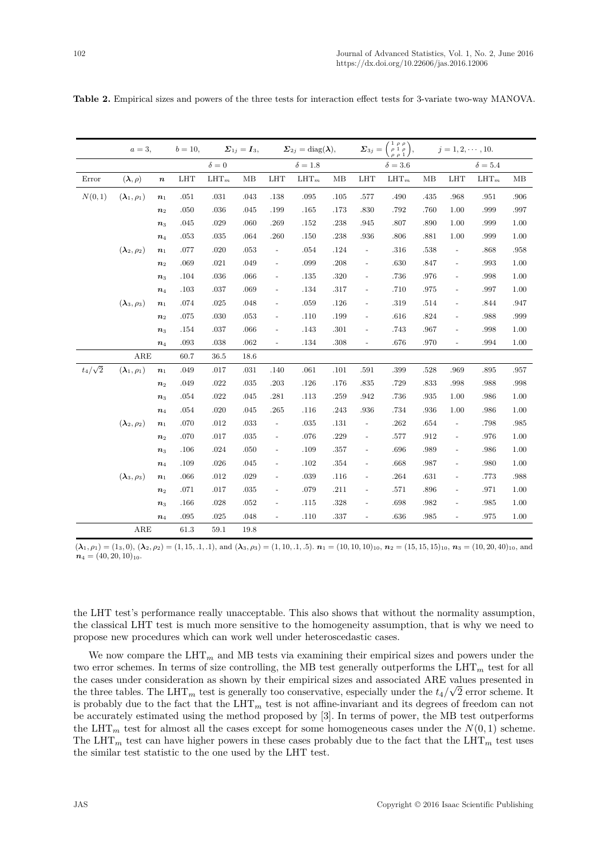|                | $a=3$ ,                           |                    | $b = 10,$  |            | $\boldsymbol{\Sigma}_{1j}=\boldsymbol{I}_3,$ |                          | $\boldsymbol{\Sigma}_{2j} = \text{diag}(\boldsymbol{\lambda}),$ |      |                              | $\boldsymbol{\Sigma}_{3j} = \begin{pmatrix} 1 & \rho & \rho \\ \rho & 1 & \rho \\ \rho & \rho & 1 \end{pmatrix},$ |      | $j=1,2,\cdots,10.$       |                |      |
|----------------|-----------------------------------|--------------------|------------|------------|----------------------------------------------|--------------------------|-----------------------------------------------------------------|------|------------------------------|-------------------------------------------------------------------------------------------------------------------|------|--------------------------|----------------|------|
|                |                                   |                    |            | $\delta=0$ |                                              |                          | $\delta=1.8$                                                    |      |                              | $\delta = 3.6$                                                                                                    |      |                          | $\delta = 5.4$ |      |
| Error          | $(\boldsymbol{\lambda}, \rho)$    | $\boldsymbol{n}$   | <b>LHT</b> | $LHT_m$    | MB                                           | <b>LHT</b>               | $LHT_m$                                                         | MB   | <b>LHT</b>                   | $\text{LHT}_m$                                                                                                    | MB   | <b>LHT</b>               | $LHT_m$        | MB   |
| N(0, 1)        | $(\boldsymbol{\lambda}_1,\rho_1)$ | n <sub>1</sub>     | $.051\,$   | .031       | .043                                         | .138                     | .095                                                            | .105 | .577                         | .490                                                                                                              | .435 | .968                     | .951           | .906 |
|                |                                   | $\boldsymbol{n}_2$ | $.050\,$   | .036       | .045                                         | .199                     | .165                                                            | .173 | .830                         | .792                                                                                                              | .760 | 1.00                     | .999           | .997 |
|                |                                   | $n_3$              | .045       | .029       | .060                                         | .269                     | .152                                                            | .238 | .945                         | .807                                                                                                              | .890 | 1.00                     | .999           | 1.00 |
|                |                                   | $\boldsymbol{n}_4$ | .053       | .035       | .064                                         | .260                     | .150                                                            | .238 | .936                         | .806                                                                                                              | .881 | 1.00                     | .999           | 1.00 |
|                | $(\pmb{\lambda}_2,\rho_2)$        | $\boldsymbol{n}_1$ | .077       | .020       | .053                                         | $\blacksquare$           | .054                                                            | .124 | $\overline{\phantom{a}}$     | .316                                                                                                              | .538 | $\overline{\phantom{a}}$ | .868           | .958 |
|                |                                   | n <sub>2</sub>     | .069       | .021       | .049                                         | $\overline{\phantom{a}}$ | .099                                                            | .208 | $\blacksquare$               | .630                                                                                                              | .847 | $\frac{1}{2}$            | .993           | 1.00 |
|                |                                   | $\boldsymbol{n}_3$ | .104       | .036       | .066                                         | $\overline{\phantom{a}}$ | .135                                                            | .320 | $\blacksquare$               | .736                                                                                                              | .976 | ÷,                       | .998           | 1.00 |
|                |                                   | $\boldsymbol{n}_4$ | $.103\,$   | .037       | .069                                         | $\overline{\phantom{a}}$ | .134                                                            | .317 | $\blacksquare$               | .710                                                                                                              | .975 | ÷,                       | .997           | 1.00 |
|                | $(\boldsymbol{\lambda}_3,\rho_3)$ | $\boldsymbol{n}_1$ | $.074\,$   | .025       | .048                                         |                          | .059                                                            | .126 | $\blacksquare$               | .319                                                                                                              | .514 |                          | .844           | .947 |
|                |                                   | n <sub>2</sub>     | $.075\,$   | .030       | .053                                         | $\overline{\phantom{a}}$ | .110                                                            | .199 | $\overline{\phantom{a}}$     | .616                                                                                                              | .824 | ÷,                       | .988           | .999 |
|                |                                   | $n_3$              | .154       | .037       | .066                                         | $\overline{\phantom{a}}$ | .143                                                            | .301 | $\blacksquare$               | .743                                                                                                              | .967 | ÷,                       | .998           | 1.00 |
|                |                                   | $\boldsymbol{n}_4$ | .093       | .038       | .062                                         | $\overline{\phantom{a}}$ | .134                                                            | .308 | $\overline{\phantom{a}}$     | .676                                                                                                              | .970 | $\overline{\phantom{a}}$ | .994           | 1.00 |
|                | ARE                               |                    | 60.7       | 36.5       | 18.6                                         |                          |                                                                 |      |                              |                                                                                                                   |      |                          |                |      |
| $t_4/\sqrt{2}$ | $(\boldsymbol{\lambda}_1,\rho_1)$ | n <sub>1</sub>     | .049       | .017       | $.031\,$                                     | .140                     | $.061\,$                                                        | .101 | .591                         | .399                                                                                                              | .528 | .969                     | .895           | .957 |
|                |                                   | $n_{2}$            | .049       | .022       | .035                                         | .203                     | .126                                                            | .176 | .835                         | .729                                                                                                              | .833 | .998                     | .988           | .998 |
|                |                                   | $n_3$              | .054       | .022       | .045                                         | .281                     | .113                                                            | .259 | .942                         | .736                                                                                                              | .935 | 1.00                     | .986           | 1.00 |
|                |                                   | $\boldsymbol{n}_4$ | .054       | .020       | .045                                         | .265                     | .116                                                            | .243 | .936                         | .734                                                                                                              | .936 | 1.00                     | .986           | 1.00 |
|                | $(\boldsymbol{\lambda}_2,\rho_2)$ | $\boldsymbol{n}_1$ | .070       | .012       | .033                                         | $\blacksquare$           | .035                                                            | .131 | $\blacksquare$               | .262                                                                                                              | .654 | $\frac{1}{2}$            | .798           | .985 |
|                |                                   | $n_{2}$            | .070       | .017       | .035                                         | $\overline{\phantom{a}}$ | .076                                                            | .229 | $\overline{\phantom{a}}$     | .577                                                                                                              | .912 | ÷,                       | .976           | 1.00 |
|                |                                   | $n_3$              | .106       | .024       | .050                                         | $\overline{\phantom{a}}$ | .109                                                            | .357 | $\overline{\phantom{a}}$     | .696                                                                                                              | .989 |                          | .986           | 1.00 |
|                |                                   | $\boldsymbol{n}_4$ | .109       | .026       | .045                                         | $\overline{\phantom{a}}$ | .102                                                            | .354 | $\qquad \qquad \blacksquare$ | .668                                                                                                              | .987 | -                        | .980           | 1.00 |
|                | $(\boldsymbol{\lambda}_3,\rho_3)$ | $\boldsymbol{n}_1$ | .066       | .012       | .029                                         | $\overline{\phantom{a}}$ | .039                                                            | .116 | ÷,                           | .264                                                                                                              | .631 | $\frac{1}{2}$            | .773           | .988 |
|                |                                   | n <sub>2</sub>     | .071       | .017       | .035                                         | $\overline{\phantom{a}}$ | .079                                                            | .211 | $\overline{\phantom{a}}$     | .571                                                                                                              | .896 | $\overline{\phantom{a}}$ | .971           | 1.00 |
|                |                                   | $n_3$              | .166       | .028       | .052                                         |                          | .115                                                            | .328 | ÷,                           | .698                                                                                                              | .982 | $\frac{1}{2}$            | .985           | 1.00 |
|                |                                   | $\boldsymbol{n}_4$ | $.095\,$   | .025       | .048                                         | $\overline{\phantom{a}}$ | .110                                                            | .337 | $\blacksquare$               | .636                                                                                                              | .985 | $\frac{1}{2}$            | .975           | 1.00 |
|                | ARE                               |                    | 61.3       | 59.1       | 19.8                                         |                          |                                                                 |      |                              |                                                                                                                   |      |                          |                |      |

Table 2. Empirical sizes and powers of the three tests for interaction effect tests for 3-variate two-way MANOVA.

 $(\lambda_1, \rho_1) = (1_3, 0), (\lambda_2, \rho_2) = (1, 15, .1, .1),$  and  $(\lambda_3, \rho_3) = (1, 10, .1, .5)$ .  $n_1 = (10, 10, 10)_{10}$ ,  $n_2 = (15, 15, 15)_{10}$ ,  $n_3 = (10, 20, 40)_{10}$ , and  $n_4 = (40, 20, 10)_{10}.$ 

the LHT test's performance really unacceptable. This also shows that without the normality assumption, the classical LHT test is much more sensitive to the homogeneity assumption, that is why we need to propose new procedures which can work well under heteroscedastic cases.

We now compare the  $LHT_m$  and MB tests via examining their empirical sizes and powers under the two error schemes. In terms of size controlling, the MB test generally outperforms the  $LHT_m$  test for all the cases under consideration as shown by their empirical sizes and associated ARE values presented in the three tables. The LHT<sub>m</sub> test is generally too conservative, especially under the  $t_4/\sqrt{2}$  error scheme. It is probably due to the fact that the  $LHT_m$  test is not affine-invariant and its degrees of freedom can not be accurately estimated using the method proposed by [3]. In terms of power, the MB test outperforms the LHT<sub>m</sub> test for almost all the cases except for some homogeneous cases under the  $N(0,1)$  scheme. The LHT<sub>m</sub> test can have higher powers in these cases probably due to the fact that the LHT<sub>m</sub> test uses the similar test statistic to the one used by the LHT test.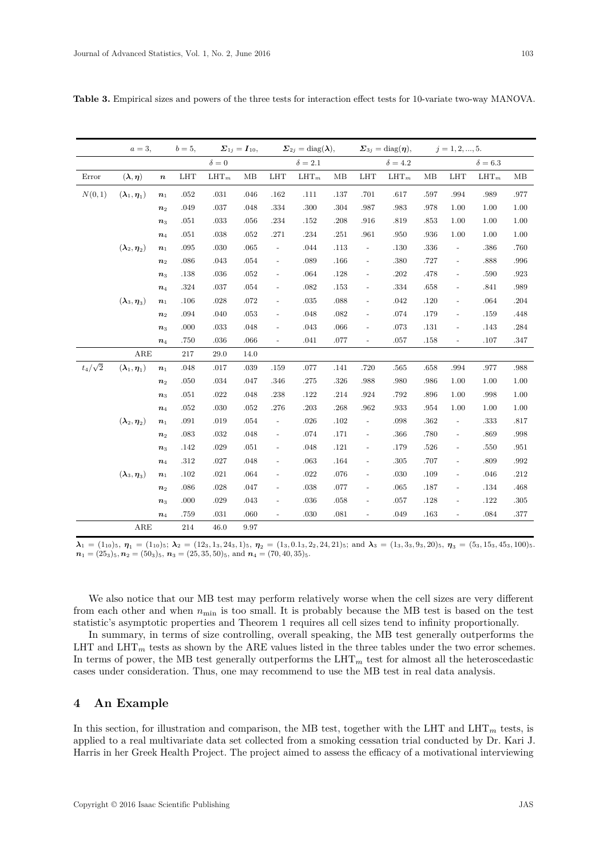|                | $a=3$ ,                                         |                    | $b=5,$     | $\Sigma_{1j}=I_{10},$ |      | $\Sigma_{2i} = \text{diag}(\lambda),$ |                |      | $\Sigma_{3j} = \text{diag}(\boldsymbol{\eta}),$ |              | $j = 1, 2, , 5.$ |                          |                |      |
|----------------|-------------------------------------------------|--------------------|------------|-----------------------|------|---------------------------------------|----------------|------|-------------------------------------------------|--------------|------------------|--------------------------|----------------|------|
|                |                                                 |                    |            | $\delta = 0$          |      |                                       | $\delta = 2.1$ |      |                                                 | $\delta=4.2$ |                  |                          | $\delta = 6.3$ |      |
| Error          | $(\lambda, \eta)$                               | $\boldsymbol{n}$   | <b>LHT</b> | $LHT_m$               | MB   | <b>LHT</b>                            | $LHT_m$        | MB   | $_{\rm LHT}$                                    | $LHT_m$      | MB               | <b>LHT</b>               | $LHT_m$        | MB   |
| N(0, 1)        | $(\boldsymbol{\lambda}_1,\boldsymbol{\eta}_1)$  | $\boldsymbol{n}_1$ | $.052\,$   | $.031\,$              | .046 | .162                                  | .111           | .137 | .701                                            | .617         | .597             | .994                     | .989           | .977 |
|                |                                                 | $n_2$              | .049       | .037                  | .048 | .334                                  | .300           | .304 | .987                                            | .983         | .978             | 1.00                     | 1.00           | 1.00 |
|                |                                                 | $\boldsymbol{n}_3$ | $.051\,$   | .033                  | .056 | $.234\,$                              | $.152\,$       | .208 | .916                                            | .819         | .853             | 1.00                     | 1.00           | 1.00 |
|                |                                                 | $\boldsymbol{n}_4$ | $.051\,$   | $.038\,$              | .052 | .271                                  | .234           | .251 | .961                                            | .950         | .936             | 1.00                     | 1.00           | 1.00 |
|                | $(\boldsymbol{\lambda}_2,\boldsymbol{\eta}_2)$  | $\boldsymbol{n}_1$ | .095       | .030                  | .065 | $\equiv$                              | .044           | .113 | $\blacksquare$                                  | .130         | .336             | $\overline{\phantom{a}}$ | .386           | .760 |
|                |                                                 | n <sub>2</sub>     | .086       | .043                  | .054 | $\blacksquare$                        | $.089$         | .166 | $\blacksquare$                                  | .380         | .727             | $\frac{1}{2}$            | .888           | .996 |
|                |                                                 | $n_3$              | .138       | .036                  | .052 | $\blacksquare$                        | .064           | .128 | ÷,                                              | .202         | .478             | $\frac{1}{2}$            | .590           | .923 |
|                |                                                 | $\boldsymbol{n}_4$ | .324       | .037                  | .054 | $\blacksquare$                        | $.082\,$       | .153 | $\blacksquare$                                  | .334         | .658             | $\blacksquare$           | .841           | .989 |
|                | $(\lambda_3, \eta_3)$                           | $\boldsymbol{n}_1$ | .106       | .028                  | .072 | $\frac{1}{2}$                         | $.035\,$       | .088 | L,                                              | .042         | .120             | $\frac{1}{2}$            | .064           | .204 |
|                |                                                 | $\boldsymbol{n}_2$ | .094       | .040                  | .053 | $\overline{\phantom{0}}$              | .048           | .082 | L,                                              | .074         | .179             | $\overline{\phantom{0}}$ | .159           | .448 |
|                |                                                 | $n_3$              | .000       | .033                  | .048 | $\blacksquare$                        | .043           | .066 | ÷,                                              | .073         | .131             | $\overline{\phantom{a}}$ | $.143\,$       | .284 |
|                |                                                 | $\boldsymbol{n}_4$ | .750       | .036                  | .066 | $\blacksquare$                        | .041           | .077 | $\blacksquare$                                  | .057         | .158             | $\Box$                   | .107           | .347 |
|                | ARE                                             |                    | 217        | 29.0                  | 14.0 |                                       |                |      |                                                 |              |                  |                          |                |      |
| $t_4/\sqrt{2}$ | $(\boldsymbol{\lambda}_1,\boldsymbol{\eta}_1)$  | $\boldsymbol{n}_1$ | .048       | .017                  | .039 | .159                                  | .077           | .141 | .720                                            | .565         | .658             | .994                     | .977           | .988 |
|                |                                                 | $\boldsymbol{n}_2$ | .050       | .034                  | .047 | .346                                  | .275           | .326 | .988                                            | .980         | .986             | 1.00                     | 1.00           | 1.00 |
|                |                                                 | $\boldsymbol{n}_3$ | .051       | .022                  | .048 | .238                                  | .122           | .214 | .924                                            | .792         | .896             | 1.00                     | .998           | 1.00 |
|                |                                                 | $\boldsymbol{n}_4$ | $.052\,$   | .030                  | .052 | .276                                  | $.203\,$       | .268 | .962                                            | .933         | .954             | 1.00                     | 1.00           | 1.00 |
|                | $(\boldsymbol{\lambda}_2, \boldsymbol{\eta}_2)$ | $\boldsymbol{n}_1$ | .091       | .019                  | .054 | $\overline{\phantom{a}}$              | $.026\,$       | .102 | ÷,                                              | .098         | .362             | $\blacksquare$           | .333           | .817 |
|                |                                                 | $\boldsymbol{n}_2$ | .083       | .032                  | .048 | $\overline{\phantom{a}}$              | .074           | .171 | $\overline{\phantom{a}}$                        | .366         | .780             | $\overline{\phantom{a}}$ | .869           | .998 |
|                |                                                 | $\boldsymbol{n}_3$ | .142       | $.029\,$              | .051 | $\overline{\phantom{a}}$              | .048           | .121 | $\blacksquare$                                  | .179         | .526             | $\frac{1}{2}$            | .550           | .951 |
|                |                                                 | $\boldsymbol{n}_4$ | .312       | .027                  | .048 | $\overline{\phantom{a}}$              | .063           | .164 | $\bar{\phantom{a}}$                             | .305         | .707             | $\overline{\phantom{a}}$ | .809           | .992 |
|                | $(\boldsymbol{\lambda}_3,\boldsymbol{\eta}_3)$  | $n_1$              | .102       | .021                  | .064 | $\frac{1}{2}$                         | .022           | .076 | L,                                              | .030         | .109             | $\overline{\phantom{0}}$ | .046           | .212 |
|                |                                                 | $\boldsymbol{n}_2$ | .086       | .028                  | .047 | $\blacksquare$                        | .038           | .077 | $\blacksquare$                                  | .065         | .187             | $\frac{1}{2}$            | .134           | .468 |
|                |                                                 | $n_3$              | .000       | .029                  | .043 | $\overline{\phantom{a}}$              | $.036\,$       | .058 | $\Box$                                          | .057         | .128             | $\frac{1}{2}$            | .122           | .305 |
|                |                                                 | $\boldsymbol{n}_4$ | .759       | .031                  | .060 | $\overline{\phantom{a}}$              | .030           | .081 | $\qquad \qquad \blacksquare$                    | .049         | .163             | $\overline{\phantom{a}}$ | .084           | .377 |
|                | ${\rm ARE}$                                     |                    | 214        | 46.0                  | 9.97 |                                       |                |      |                                                 |              |                  |                          |                |      |

Table 3. Empirical sizes and powers of the three tests for interaction effect tests for 10-variate two-way MANOVA.

 $\lambda_1 = (1_{10})_5, \eta_1 = (1_{10})_5; \lambda_2 = (12_3, 1_3, 24_3, 1)_5, \eta_2 = (1_3, 0.1_3, 2_2, 24, 21)_5;$  and  $\lambda_3 = (1_3, 3_3, 9_3, 20)_5, \eta_3 = (5_3, 15_3, 45_3, 100)_5.$  $n_1 = (25_3)_5, n_2 = (50_3)_5, n_3 = (25, 35, 50)_5,$  and  $n_4 = (70, 40, 35)_5$ .

We also notice that our MB test may perform relatively worse when the cell sizes are very different from each other and when  $n_{\min}$  is too small. It is probably because the MB test is based on the test statistic's asymptotic properties and Theorem 1 requires all cell sizes tend to infinity proportionally.

In summary, in terms of size controlling, overall speaking, the MB test generally outperforms the LHT and LHT<sub>m</sub> tests as shown by the ARE values listed in the three tables under the two error schemes. In terms of power, the MB test generally outperforms the  $LHT_m$  test for almost all the heteroscedastic cases under consideration. Thus, one may recommend to use the MB test in real data analysis.

#### An Example  $\boldsymbol{4}$

In this section, for illustration and comparison, the MB test, together with the LHT and LHT<sub>m</sub> tests, is applied to a real multivariate data set collected from a smoking cessation trial conducted by Dr. Kari J. Harris in her Greek Health Project. The project aimed to assess the efficacy of a motivational interviewing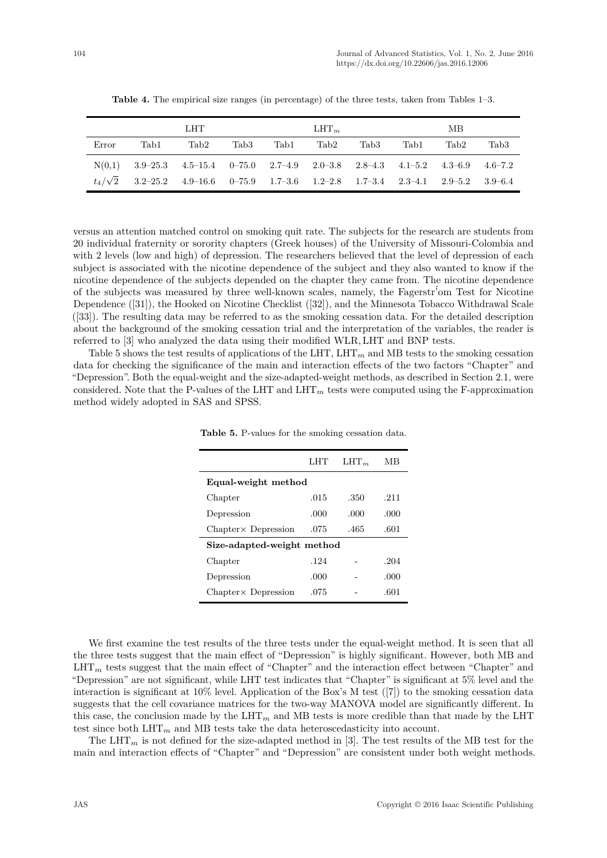|       |                                                                                         | LHT  |      |      | $LHT_m$ |      |      | MВ   |                  |
|-------|-----------------------------------------------------------------------------------------|------|------|------|---------|------|------|------|------------------|
| Error | Tab1                                                                                    | Tab2 | Tab3 | Tab1 | Tab2    | Tab3 | Tab1 | Tab2 | Tab <sub>3</sub> |
|       | $N(0,1)$ 3.9–25.3 4.5–15.4 0–75.0 2.7–4.9 2.0–3.8 2.8–4.3 4.1–5.2 4.3–6.9 4.6–7.2       |      |      |      |         |      |      |      |                  |
|       | $t_4/\sqrt{2}$ 3.2-25.2 4.9-16.6 0-75.9 1.7-3.6 1.2-2.8 1.7-3.4 2.3-4.1 2.9-5.2 3.9-6.4 |      |      |      |         |      |      |      |                  |

**Table 4.** The empirical size ranges (in percentage) of the three tests, taken from Tables 1–3.

versus an attention matched control on smoking quit rate. The subjects for the research are students from 20 individual fraternity or sorority chapters (Greek houses) of the University of Missouri-Colombia and with 2 levels (low and high) of depression. The researchers believed that the level of depression of each subject is associated with the nicotine dependence of the subject and they also wanted to know if the nicotine dependence of the subjects depended on the chapter they came from. The nicotine dependence of the subjects was measured by three well-known scales, namely, the Fagerstr´'om Test for Nicotine Dependence ([31]), the Hooked on Nicotine Checklist ([32]), and the Minnesota Tobacco Withdrawal Scale ([33]). The resulting data may be referred to as the smoking cessation data. For the detailed description about the background of the smoking cessation trial and the interpretation of the variables, the reader is referred to [3] who analyzed the data using their modified WLR*,* LHT and BNP tests.

Table 5 shows the test results of applications of the LHT,  $LHT_m$  and MB tests to the smoking cessation data for checking the significance of the main and interaction effects of the two factors "Chapter" and "Depression". Both the equal-weight and the size-adapted-weight methods, as described in Section 2.1, were considered. Note that the P-values of the LHT and  $LHT_m$  tests were computed using the F-approximation method widely adopted in SAS and SPSS.

|                             | LHT  | $LHT_m$ | MВ   |
|-----------------------------|------|---------|------|
| Equal-weight method         |      |         |      |
| Chapter                     | .015 | .350    | .211 |
| Depression                  | .000 | .000    | .000 |
| $Chapter \times$ Depression | .075 | .465    | .601 |
| Size-adapted-weight method  |      |         |      |
| Chapter                     | .124 |         | .204 |
| Depression                  | .000 |         | .000 |
| $Chapter \times$ Depression | .075 |         | .601 |
|                             |      |         |      |

**Table 5.** P-values for the smoking cessation data.

We first examine the test results of the three tests under the equal-weight method. It is seen that all the three tests suggest that the main effect of "Depression" is highly significant. However, both MB and LHT<sub>m</sub> tests suggest that the main effect of "Chapter" and the interaction effect between "Chapter" and "Depression" are not significant, while LHT test indicates that "Chapter" is significant at 5% level and the interaction is significant at 10% level. Application of the Box's M test ([7]) to the smoking cessation data suggests that the cell covariance matrices for the two-way MANOVA model are significantly different. In this case, the conclusion made by the  $LHT_m$  and MB tests is more credible than that made by the LHT test since both  $LHT_m$  and MB tests take the data heteroscedasticity into account.

The  $LHT_m$  is not defined for the size-adapted method in [3]. The test results of the MB test for the main and interaction effects of "Chapter" and "Depression" are consistent under both weight methods.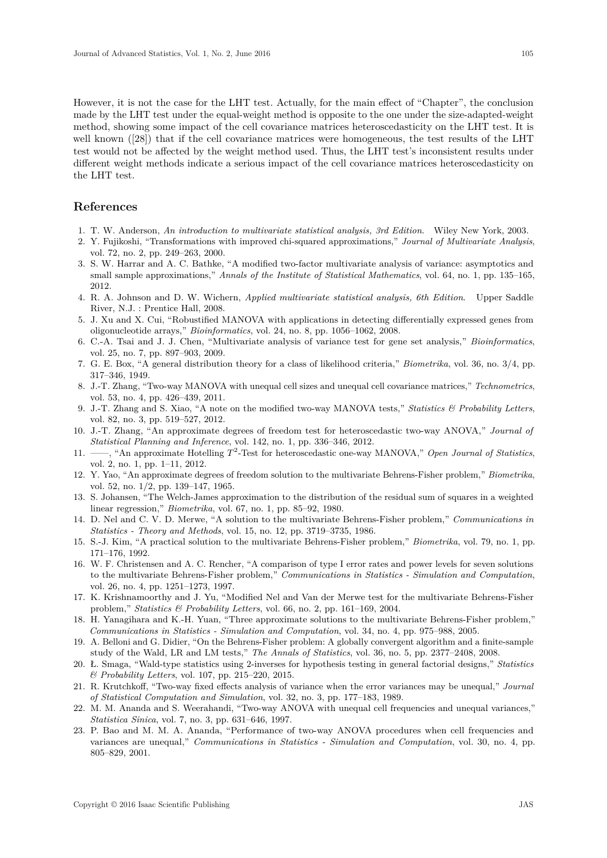However, it is not the case for the LHT test. Actually, for the main effect of "Chapter", the conclusion made by the LHT test under the equal-weight method is opposite to the one under the size-adapted-weight method, showing some impact of the cell covariance matrices heteroscedasticity on the LHT test. It is well known ([28]) that if the cell covariance matrices were homogeneous, the test results of the LHT test would not be affected by the weight method used. Thus, the LHT test's inconsistent results under different weight methods indicate a serious impact of the cell covariance matrices heteroscedasticity on the LHT test.

## **References**

- 1. T. W. Anderson, *An introduction to multivariate statistical analysis, 3rd Edition*. Wiley New York, 2003.
- 2. Y. Fujikoshi, "Transformations with improved chi-squared approximations," *Journal of Multivariate Analysis*, vol. 72, no. 2, pp. 249–263, 2000.
- 3. S. W. Harrar and A. C. Bathke, "A modified two-factor multivariate analysis of variance: asymptotics and small sample approximations," *Annals of the Institute of Statistical Mathematics*, vol. 64, no. 1, pp. 135–165, 2012.
- 4. R. A. Johnson and D. W. Wichern, *Applied multivariate statistical analysis, 6th Edition*. Upper Saddle River, N.J. : Prentice Hall, 2008.
- 5. J. Xu and X. Cui, "Robustified MANOVA with applications in detecting differentially expressed genes from oligonucleotide arrays," *Bioinformatics*, vol. 24, no. 8, pp. 1056–1062, 2008.
- 6. C.-A. Tsai and J. J. Chen, "Multivariate analysis of variance test for gene set analysis," *Bioinformatics*, vol. 25, no. 7, pp. 897–903, 2009.
- 7. G. E. Box, "A general distribution theory for a class of likelihood criteria," *Biometrika*, vol. 36, no. 3/4, pp. 317–346, 1949.
- 8. J.-T. Zhang, "Two-way MANOVA with unequal cell sizes and unequal cell covariance matrices," *Technometrics*, vol. 53, no. 4, pp. 426–439, 2011.
- 9. J.-T. Zhang and S. Xiao, "A note on the modified two-way MANOVA tests," *Statistics & Probability Letters*, vol. 82, no. 3, pp. 519–527, 2012.
- 10. J.-T. Zhang, "An approximate degrees of freedom test for heteroscedastic two-way ANOVA," *Journal of Statistical Planning and Inference*, vol. 142, no. 1, pp. 336–346, 2012.
- 11. ——, "An approximate Hotelling  $T^2$ -Test for heteroscedastic one-way MANOVA," *Open Journal of Statistics*, vol. 2, no. 1, pp. 1–11, 2012.
- 12. Y. Yao, "An approximate degrees of freedom solution to the multivariate Behrens-Fisher problem," *Biometrika*, vol. 52, no. 1/2, pp. 139–147, 1965.
- 13. S. Johansen, "The Welch-James approximation to the distribution of the residual sum of squares in a weighted linear regression," *Biometrika*, vol. 67, no. 1, pp. 85–92, 1980.
- 14. D. Nel and C. V. D. Merwe, "A solution to the multivariate Behrens-Fisher problem," *Communications in Statistics - Theory and Methods*, vol. 15, no. 12, pp. 3719–3735, 1986.
- 15. S.-J. Kim, "A practical solution to the multivariate Behrens-Fisher problem," *Biometrika*, vol. 79, no. 1, pp. 171–176, 1992.
- 16. W. F. Christensen and A. C. Rencher, "A comparison of type I error rates and power levels for seven solutions to the multivariate Behrens-Fisher problem," *Communications in Statistics - Simulation and Computation*, vol. 26, no. 4, pp. 1251–1273, 1997.
- 17. K. Krishnamoorthy and J. Yu, "Modified Nel and Van der Merwe test for the multivariate Behrens-Fisher problem," *Statistics & Probability Letters*, vol. 66, no. 2, pp. 161–169, 2004.
- 18. H. Yanagihara and K.-H. Yuan, "Three approximate solutions to the multivariate Behrens-Fisher problem," *Communications in Statistics - Simulation and Computation*, vol. 34, no. 4, pp. 975–988, 2005.
- 19. A. Belloni and G. Didier, "On the Behrens-Fisher problem: A globally convergent algorithm and a finite-sample study of the Wald, LR and LM tests," *The Annals of Statistics*, vol. 36, no. 5, pp. 2377–2408, 2008.
- 20. Ł. Smaga, "Wald-type statistics using 2-inverses for hypothesis testing in general factorial designs," *Statistics & Probability Letters*, vol. 107, pp. 215–220, 2015.
- 21. R. Krutchkoff, "Two-way fixed effects analysis of variance when the error variances may be unequal," *Journal of Statistical Computation and Simulation*, vol. 32, no. 3, pp. 177–183, 1989.
- 22. M. M. Ananda and S. Weerahandi, "Two-way ANOVA with unequal cell frequencies and unequal variances," *Statistica Sinica*, vol. 7, no. 3, pp. 631–646, 1997.
- 23. P. Bao and M. M. A. Ananda, "Performance of two-way ANOVA procedures when cell frequencies and variances are unequal," *Communications in Statistics - Simulation and Computation*, vol. 30, no. 4, pp. 805–829, 2001.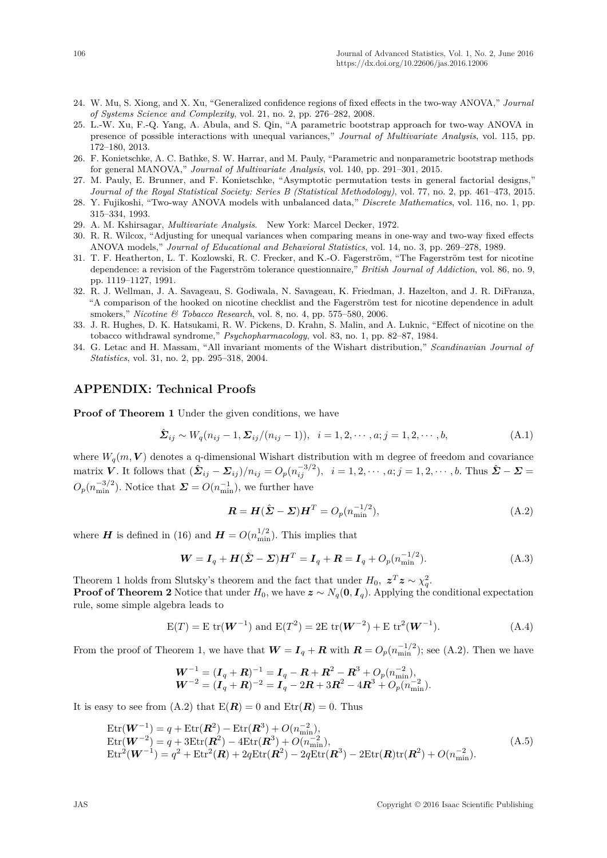- 24. W. Mu, S. Xiong, and X. Xu, "Generalized confidence regions of fixed effects in the two-way ANOVA," *Journal of Systems Science and Complexity*, vol. 21, no. 2, pp. 276–282, 2008.
- 25. L.-W. Xu, F.-Q. Yang, A. Abula, and S. Qin, "A parametric bootstrap approach for two-way ANOVA in presence of possible interactions with unequal variances," *Journal of Multivariate Analysis*, vol. 115, pp. 172–180, 2013.
- 26. F. Konietschke, A. C. Bathke, S. W. Harrar, and M. Pauly, "Parametric and nonparametric bootstrap methods for general MANOVA," *Journal of Multivariate Analysis*, vol. 140, pp. 291–301, 2015.
- 27. M. Pauly, E. Brunner, and F. Konietschke, "Asymptotic permutation tests in general factorial designs," *Journal of the Royal Statistical Society: Series B (Statistical Methodology)*, vol. 77, no. 2, pp. 461–473, 2015.
- 28. Y. Fujikoshi, "Two-way ANOVA models with unbalanced data," *Discrete Mathematics*, vol. 116, no. 1, pp. 315–334, 1993.
- 29. A. M. Kshirsagar, *Multivariate Analysis*. New York: Marcel Decker, 1972.
- 30. R. R. Wilcox, "Adjusting for unequal variances when comparing means in one-way and two-way fixed effects ANOVA models," *Journal of Educational and Behavioral Statistics*, vol. 14, no. 3, pp. 269–278, 1989.
- 31. T. F. Heatherton, L. T. Kozlowski, R. C. Frecker, and K.-O. Fagerström, "The Fagerström test for nicotine dependence: a revision of the Fagerström tolerance questionnaire," *British Journal of Addiction*, vol. 86, no. 9, pp. 1119–1127, 1991.
- 32. R. J. Wellman, J. A. Savageau, S. Godiwala, N. Savageau, K. Friedman, J. Hazelton, and J. R. DiFranza, "A comparison of the hooked on nicotine checklist and the Fagerström test for nicotine dependence in adult smokers," *Nicotine & Tobacco Research*, vol. 8, no. 4, pp. 575–580, 2006.
- 33. J. R. Hughes, D. K. Hatsukami, R. W. Pickens, D. Krahn, S. Malin, and A. Luknic, "Effect of nicotine on the tobacco withdrawal syndrome," *Psychopharmacology*, vol. 83, no. 1, pp. 82–87, 1984.
- 34. G. Letac and H. Massam, "All invariant moments of the Wishart distribution," *Scandinavian Journal of Statistics*, vol. 31, no. 2, pp. 295–318, 2004.

### **APPENDIX: Technical Proofs**

**Proof of Theorem 1** Under the given conditions, we have

$$
\hat{\Sigma}_{ij} \sim W_q(n_{ij} - 1, \Sigma_{ij}/(n_{ij} - 1)), \quad i = 1, 2, \cdots, a; j = 1, 2, \cdots, b,
$$
\n(A.1)

where  $W_a(m, V)$  denotes a q-dimensional Wishart distribution with m degree of freedom and covariance matrix V. It follows that  $(\hat{\Sigma}_{ij} - \Sigma_{ij})/n_{ij} = O_p(n_{ij}^{-3/2}), \quad i = 1, 2, \cdots, a; j = 1, 2, \cdots, b.$  Thus  $\hat{\Sigma} - \Sigma =$  $O_p(n_{\min}^{-3/2})$ . Notice that  $\mathbf{\Sigma} = O(n_{\min}^{-1})$ , we further have

$$
\mathbf{R} = \mathbf{H}(\hat{\boldsymbol{\Sigma}} - \boldsymbol{\Sigma})\mathbf{H}^T = O_p(n_{\min}^{-1/2}),
$$
\n(A.2)

where *H* is defined in (16) and  $H = O(n_{\min}^{1/2})$ . This implies that

$$
\boldsymbol{W} = \boldsymbol{I}_q + \boldsymbol{H}(\hat{\boldsymbol{\Sigma}} - \boldsymbol{\Sigma})\boldsymbol{H}^T = \boldsymbol{I}_q + \boldsymbol{R} = \boldsymbol{I}_q + O_p(n_{\min}^{-1/2}).
$$
\n(A.3)

Theorem 1 holds from Slutsky's theorem and the fact that under  $H_0$ ,  $z^T z \sim \chi_q^2$ . **Proof of Theorem 2** Notice that under  $H_0$ , we have  $z \sim N_q(\mathbf{0}, \mathbf{I}_q)$ . Applying the conditional expectation

rule, some simple algebra leads to  
\n
$$
E(T) = E \operatorname{tr}(\mathbf{W}^{-1}) \text{ and } E(T^2) = 2E \operatorname{tr}(\mathbf{W}^{-2}) + E \operatorname{tr}^2(\mathbf{W}^{-1}).
$$
\n(A.4)

From the proof of Theorem 1, we have that  $W = I_q + R$  with  $R = O_p(n_{\text{min}}^{-1/2})$ ; see (A.2). Then we have

$$
\begin{array}{l} \boldsymbol{W}^{-1}=(\boldsymbol{I}_q+\boldsymbol{R})^{-1}=\boldsymbol{I}_q-\boldsymbol{R}+\boldsymbol{R}^2-\boldsymbol{R}^3+O_p(n_{\min}^{-2}),\\ \boldsymbol{W}^{-2}=(\boldsymbol{I}_q+\boldsymbol{R})^{-2}=\boldsymbol{I}_q-2\boldsymbol{R}+3\boldsymbol{R}^2-4\boldsymbol{R}^3+O_p(n_{\min}^{-2}). \end{array}
$$

It is easy to see from  $(A.2)$  that  $E(\mathbf{R}) = 0$  and  $Etr(\mathbf{R}) = 0$ . Thus

$$
\begin{aligned} \text{Etr}(\mathbf{W}^{-1}) &= q + \text{Etr}(\mathbf{R}^2) - \text{Etr}(\mathbf{R}^3) + O(n_{\min}^{-2}),\\ \text{Etr}(\mathbf{W}^{-2}) &= q + 3 \text{Etr}(\mathbf{R}^2) - 4 \text{Etr}(\mathbf{R}^3) + O(n_{\min}^{-2}),\\ \text{Etr}^2(\mathbf{W}^{-1}) &= q^2 + \text{Etr}^2(\mathbf{R}) + 2q \text{Etr}(\mathbf{R}^2) - 2q \text{Etr}(\mathbf{R}^3) - 2 \text{Etr}(\mathbf{R}) \text{tr}(\mathbf{R}^2) + O(n_{\min}^{-2}).\end{aligned} \tag{A.5}
$$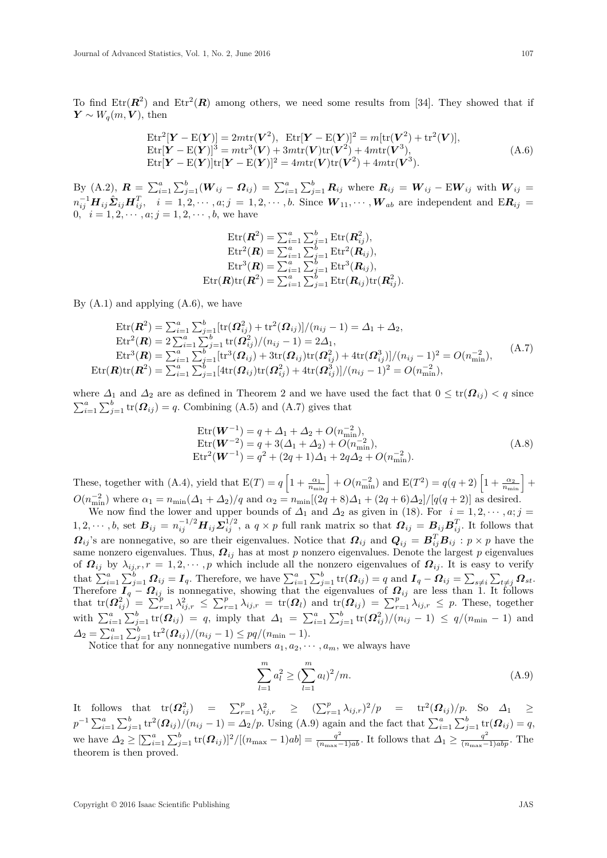To find  $\text{Etr}(\mathbf{R}^2)$  and  $\text{Etr}^2(\mathbf{R})$  among others, we need some results from [34]. They showed that if  $\boldsymbol{Y} \sim W_q(m, \boldsymbol{V}), \text{ then}$ 

$$
\begin{aligned} \n\text{Etr}^2[\mathbf{Y} - \text{E}(\mathbf{Y})] &= 2m \text{tr}(\mathbf{V}^2), \quad \text{Etr}[\mathbf{Y} - \text{E}(\mathbf{Y})]^2 = m[\text{tr}(\mathbf{V}^2) + \text{tr}^2(\mathbf{V})],\\ \n\text{Etr}[\mathbf{Y} - \text{E}(\mathbf{Y})]^3 &= m \text{tr}^3(\mathbf{V}) + 3m \text{tr}(\mathbf{V}) \text{tr}(\mathbf{V}^2) + 4m \text{tr}(\mathbf{V}^3),\\ \n\text{Etr}[\mathbf{Y} - \text{E}(\mathbf{Y})] \text{tr}[\mathbf{Y} - \text{E}(\mathbf{Y})]^2 &= 4m \text{tr}(\mathbf{V}) \text{tr}(\mathbf{V}^2) + 4m \text{tr}(\mathbf{V}^3). \n\end{aligned} \tag{A.6}
$$

By (A.2),  $\bm{R} = \sum_{i=1}^{a} \sum_{j=1}^{b} (\bm{W}_{ij} - \bm{\Omega}_{ij}) = \sum_{i=1}^{a} \sum_{j=1}^{b} \bm{R}_{ij}$  where  $\bm{R}_{ij} = \bm{W}_{ij} - \bm{E} \bm{W}_{ij}$  with  $\bm{W}_{ij} =$  $n_{ij}^{-1}H_{ij}\hat{\Sigma}_{ij}H_{ij}^T$ ,  $i=1,2,\cdots,a; j=1,2,\cdots,b$ . Since  $W_{11},\cdots,W_{ab}$  are independent and  $\mathrm{E}R_{ij}$ 0*,*  $i = 1, 2, \dots, a; j = 1, 2, \dots, b$ , we have

$$
\operatorname{Etr}(\boldsymbol{R}^2) = \sum_{i=1}^a \sum_{j=1}^b \operatorname{Etr}(\boldsymbol{R}^2_{ij}),
$$
\n
$$
\operatorname{Etr}^2(\boldsymbol{R}) = \sum_{i=1}^a \sum_{j=1}^b \operatorname{Etr}^2(\boldsymbol{R}_{ij}),
$$
\n
$$
\operatorname{Etr}^3(\boldsymbol{R}) = \sum_{i=1}^a \sum_{j=1}^b \operatorname{Etr}^3(\boldsymbol{R}_{ij}),
$$
\n
$$
\operatorname{Etr}(\boldsymbol{R}) \operatorname{tr}(\boldsymbol{R}^2) = \sum_{i=1}^a \sum_{j=1}^b \operatorname{Etr}(\boldsymbol{R}_{ij}) \operatorname{tr}(\boldsymbol{R}^2_{ij}).
$$

By  $(A.1)$  and applying  $(A.6)$ , we have

$$
\begin{aligned}\n\text{Etr}(\mathbf{R}^2) &= \sum_{i=1}^a \sum_{j=1}^b [\text{tr}(\Omega_{ij}^2) + \text{tr}^2(\Omega_{ij})] / (n_{ij} - 1) = \Delta_1 + \Delta_2, \\
\text{Etr}^2(\mathbf{R}) &= 2 \sum_{i=1}^a \sum_{j=1}^b \text{tr}(\Omega_{ij}^2) / (n_{ij} - 1) = 2\Delta_1, \\
\text{Etr}^3(\mathbf{R}) &= \sum_{i=1}^a \sum_{j=1}^b [\text{tr}^3(\Omega_{ij}) + 3\text{tr}(\Omega_{ij}) \text{tr}(\Omega_{ij}^2) + 4\text{tr}(\Omega_{ij}^3)] / (n_{ij} - 1)^2 = O(n_{\min}^{-2}), \\
\text{Etr}(\mathbf{R}) \text{tr}(\mathbf{R}^2) &= \sum_{i=1}^a \sum_{j=1}^b [\text{4tr}(\Omega_{ij}) \text{tr}(\Omega_{ij}^2) + 4\text{tr}(\Omega_{ij}^3)] / (n_{ij} - 1)^2 = O(n_{\min}^{-2}),\n\end{aligned} \tag{A.7}
$$

where  $\Delta_1$  and  $\Delta_2$  are as defined in Theorem 2 and we have used the fact that  $0 \leq \text{tr}(\Omega_{ij}) < q$  since  $\sum_{i=1}^{a} \sum_{j=1}^{b} \text{tr}(\boldsymbol{\Omega}_{ij}) = q$ . Combining (A.5) and (A.7) gives that

$$
\begin{aligned} \text{Etr}(\mathbf{W}^{-1}) &= q + \Delta_1 + \Delta_2 + O(n_{\min}^{-2}), \\ \text{Etr}(\mathbf{W}^{-2}) &= q + 3(\Delta_1 + \Delta_2) + O(n_{\min}^{-2}), \\ \text{Etr}^2(\mathbf{W}^{-1}) &= q^2 + (2q + 1)\Delta_1 + 2q\Delta_2 + O(n_{\min}^{-2}). \end{aligned} \tag{A.8}
$$

These, together with (A.4), yield that  $E(T) = q\left[1 + \frac{\alpha_1}{n_{\min}}\right] + O(n_{\min}^{-2})$  and  $E(T^2) = q(q+2)\left[1 + \frac{\alpha_2}{n_{\min}}\right] +$  $O(n_{\min}^{-2})$  where  $\alpha_1 = n_{\min}(\Delta_1 + \Delta_2)/q$  and  $\alpha_2 = n_{\min}[(2q + 8)\Delta_1 + (2q + 6)\Delta_2]/[q(q + 2)]$  as desired.

We now find the lower and upper bounds of  $\Delta_1$  and  $\Delta_2$  as given in (18). For  $i = 1, 2, \dots, a; j =$  $1, 2, \cdots, b$ , set  $B_{ij} = n_{ij}^{-1/2} H_{ij} \Sigma_{ij}^{1/2}$ , a  $q \times p$  full rank matrix so that  $\mathbf{\Omega}_{ij} = B_{ij} B_{ij}^T$ . It follows that  $Q_{ij}$  is are nonnegative, so are their eigenvalues. Notice that  $Q_{ij}$  and  $Q_{ij} = B_{ij}^T B_{ij}$  :  $p \times p$  have the same nonzero eigenvalues. Thus, *Ωij* has at most *p* nonzero eigenvalues. Denote the largest *p* eigenvalues of  $\Omega_{ij}$  by  $\lambda_{ij,r}$ ,  $r = 1, 2, \cdots, p$  which include all the nonzero eigenvalues of  $\Omega_{ij}$ . It is easy to verify that  $\sum_{i=1}^{a} \sum_{j=1}^{b} \mathbf{\Omega}_{ij} = \mathbf{I}_q$ . Therefore, we have  $\sum_{i=1}^{a} \sum_{j=1}^{b}$  tr $(\mathbf{\Omega}_{ij}) = q$  and  $\mathbf{I}_q - \mathbf{\Omega}_{ij} = \sum_{s \neq i} \sum_{t \neq j} \mathbf{\Omega}_{st}$ . Therefore  $I_q - \Omega_{ij}$  is nonnegative, showing that the eigenvalues of  $\Omega_{ij}$  are less than 1. It follows that  $\text{tr}(\Omega_{ij}^2) = \sum_{r=1}^p \lambda_{ij,r}^2 \leq \sum_{r=1}^p \lambda_{ij,r} = \text{tr}(\Omega_l)$  and  $\text{tr}(\Omega_{ij}) = \sum_{r=1}^p \lambda_{ij,r} \leq p$ . These, together with  $\sum_{i=1}^{a} \sum_{j=1}^{b} tr(\mathbf{\Omega}_{ij}) = q$ , imply that  $\Delta_1 = \sum_{i=1}^{a} \sum_{j=1}^{b} tr(\mathbf{\Omega}_{ij}^2)/(n_{ij} - 1) \le q/(n_{\min} - 1)$  and  $\Delta_2 = \sum_{i=1}^a \sum_{j=1}^b \text{tr}^2(\mathbf{\Omega}_{ij})/(n_{ij}-1) \leq pq/(n_{\min}-1).$ 

Notice that for any nonnegative numbers  $a_1, a_2, \dots, a_m$ , we always have

$$
\sum_{l=1}^{m} a_l^2 \ge (\sum_{l=1}^{m} a_l)^2 / m. \tag{A.9}
$$

It follows that  $\text{tr}(\Omega_{ij}^2) = \sum_{r=1}^p \lambda_{ij,r}^2 \ge (\sum_{r=1}^p \lambda_{ij,r})^2/p = \text{tr}^2(\Omega_{ij})/p$ . So  $\Delta_1 \ge$  $p^{-1}\sum_{i=1}^{a}\sum_{j=1}^{b}$  tr<sup>2</sup> $(\mathbf{\Omega}_{ij})/(n_{ij}-1) = \Delta_2/p$ . Using (A.9) again and the fact that  $\sum_{i=1}^{a}\sum_{j=1}^{b}$  tr $(\mathbf{\Omega}_{ij}) = q$ , we have  $\Delta_2 \geq \left[\sum_{i=1}^a \sum_{j=1}^b \text{tr}(\boldsymbol{\Omega}_{ij})\right]^2/[(n_{\text{max}}-1)ab] = \frac{q^2}{(n_{\text{max}}-1)ab}$ . It follows that  $\Delta_1 \geq \frac{q^2}{(n_{\text{max}}-1)abp}$ . The theorem is then proved.